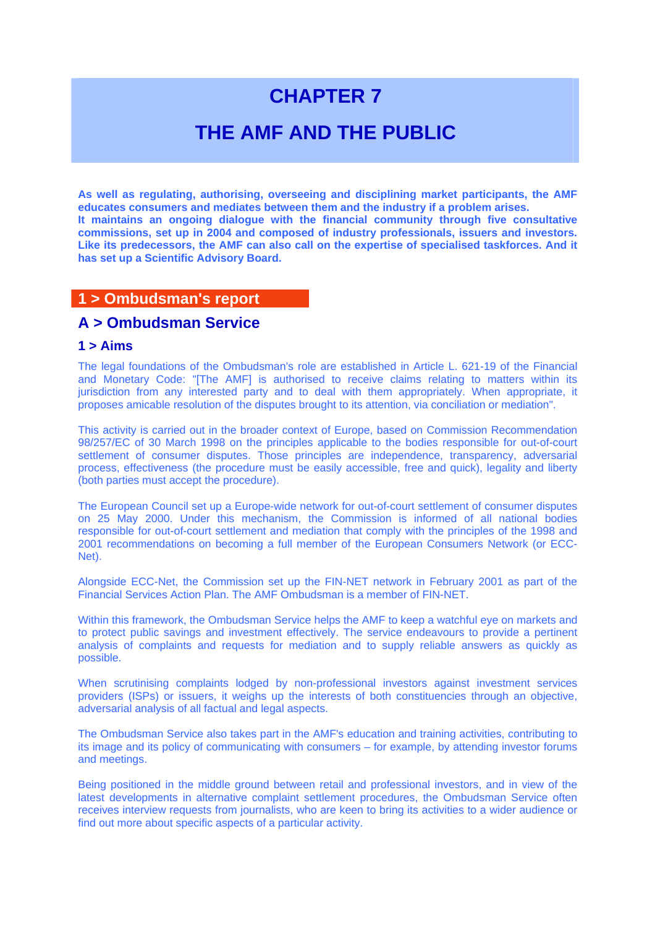# **CHAPTER 7**

## **THE AMF AND THE PUBLIC**

**As well as regulating, authorising, overseeing and disciplining market participants, the AMF educates consumers and mediates between them and the industry if a problem arises. It maintains an ongoing dialogue with the financial community through five consultative commissions, set up in 2004 and composed of industry professionals, issuers and investors. Like its predecessors, the AMF can also call on the expertise of specialised taskforces. And it has set up a Scientific Advisory Board.** 

## **1 > Ombudsman's report**

## **A > Ombudsman Service**

## **1 > Aims**

The legal foundations of the Ombudsman's role are established in Article L. 621-19 of the Financial and Monetary Code: "[The AMF] is authorised to receive claims relating to matters within its jurisdiction from any interested party and to deal with them appropriately. When appropriate, it proposes amicable resolution of the disputes brought to its attention, via conciliation or mediation".

This activity is carried out in the broader context of Europe, based on Commission Recommendation 98/257/EC of 30 March 1998 on the principles applicable to the bodies responsible for out-of-court settlement of consumer disputes. Those principles are independence, transparency, adversarial process, effectiveness (the procedure must be easily accessible, free and quick), legality and liberty (both parties must accept the procedure).

The European Council set up a Europe-wide network for out-of-court settlement of consumer disputes on 25 May 2000. Under this mechanism, the Commission is informed of all national bodies responsible for out-of-court settlement and mediation that comply with the principles of the 1998 and 2001 recommendations on becoming a full member of the European Consumers Network (or ECC-Net).

Alongside ECC-Net, the Commission set up the FIN-NET network in February 2001 as part of the Financial Services Action Plan. The AMF Ombudsman is a member of FIN-NET.

Within this framework, the Ombudsman Service helps the AMF to keep a watchful eye on markets and to protect public savings and investment effectively. The service endeavours to provide a pertinent analysis of complaints and requests for mediation and to supply reliable answers as quickly as possible.

When scrutinising complaints lodged by non-professional investors against investment services providers (ISPs) or issuers, it weighs up the interests of both constituencies through an objective, adversarial analysis of all factual and legal aspects.

The Ombudsman Service also takes part in the AMF's education and training activities, contributing to its image and its policy of communicating with consumers – for example, by attending investor forums and meetings.

Being positioned in the middle ground between retail and professional investors, and in view of the latest developments in alternative complaint settlement procedures, the Ombudsman Service often receives interview requests from journalists, who are keen to bring its activities to a wider audience or find out more about specific aspects of a particular activity.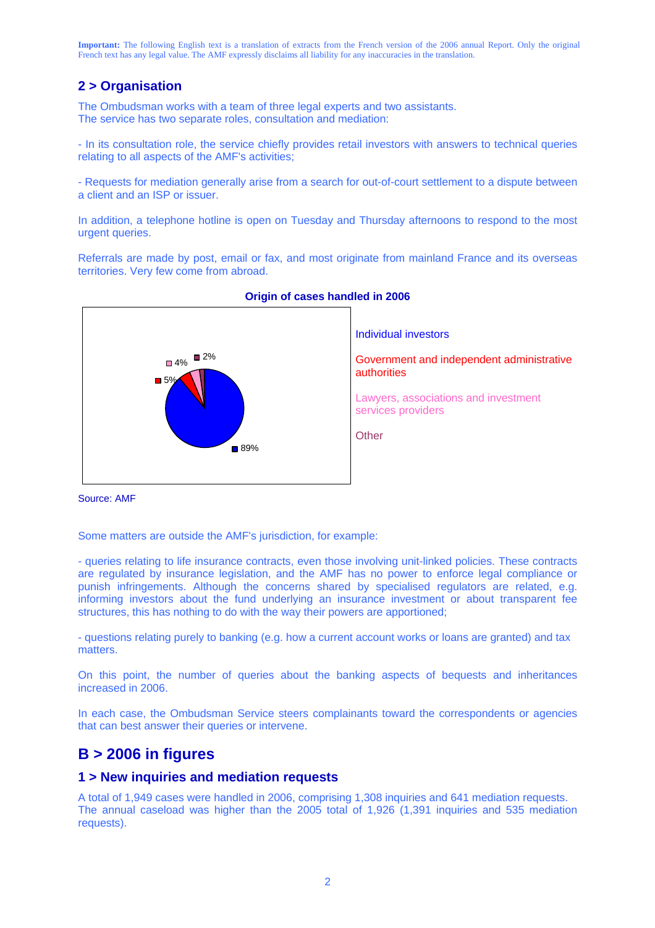## **2 > Organisation**

The Ombudsman works with a team of three legal experts and two assistants. The service has two separate roles, consultation and mediation:

- In its consultation role, the service chiefly provides retail investors with answers to technical queries relating to all aspects of the AMF's activities;

- Requests for mediation generally arise from a search for out-of-court settlement to a dispute between a client and an ISP or issuer.

In addition, a telephone hotline is open on Tuesday and Thursday afternoons to respond to the most urgent queries.

Referrals are made by post, email or fax, and most originate from mainland France and its overseas territories. Very few come from abroad.



#### **Origin of cases handled in 2006**

Source: AMF

Some matters are outside the AMF's jurisdiction, for example:

- queries relating to life insurance contracts, even those involving unit-linked policies. These contracts are regulated by insurance legislation, and the AMF has no power to enforce legal compliance or punish infringements. Although the concerns shared by specialised regulators are related, e.g. informing investors about the fund underlying an insurance investment or about transparent fee structures, this has nothing to do with the way their powers are apportioned;

- questions relating purely to banking (e.g. how a current account works or loans are granted) and tax matters.

On this point, the number of queries about the banking aspects of bequests and inheritances increased in 2006.

In each case, the Ombudsman Service steers complainants toward the correspondents or agencies that can best answer their queries or intervene.

## **B > 2006 in figures**

### **1 > New inquiries and mediation requests**

A total of 1,949 cases were handled in 2006, comprising 1,308 inquiries and 641 mediation requests. The annual caseload was higher than the 2005 total of 1,926 (1,391 inquiries and 535 mediation requests).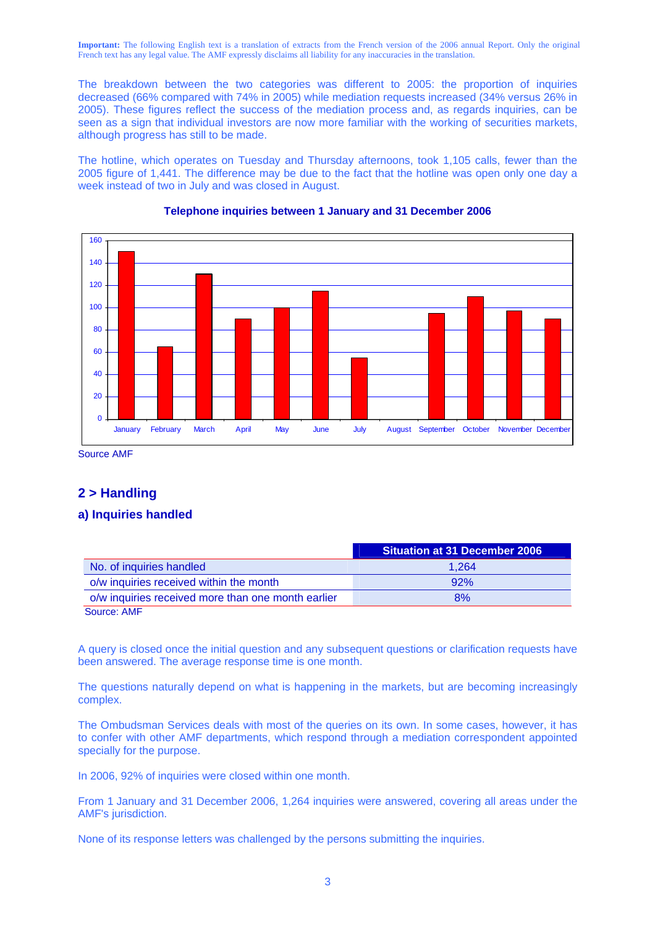The breakdown between the two categories was different to 2005: the proportion of inquiries decreased (66% compared with 74% in 2005) while mediation requests increased (34% versus 26% in 2005). These figures reflect the success of the mediation process and, as regards inquiries, can be seen as a sign that individual investors are now more familiar with the working of securities markets, although progress has still to be made.

The hotline, which operates on Tuesday and Thursday afternoons, took 1,105 calls, fewer than the 2005 figure of 1,441. The difference may be due to the fact that the hotline was open only one day a week instead of two in July and was closed in August.



#### **Telephone inquiries between 1 January and 31 December 2006**

Source AMF

## **2 > Handling**

### **a) Inquiries handled**

|                                                    | <b>Situation at 31 December 2006</b> |
|----------------------------------------------------|--------------------------------------|
| No. of inquiries handled                           | 1.264                                |
| o/w inquiries received within the month            | 92%                                  |
| o/w inquiries received more than one month earlier | 8%                                   |
| Source: AMF                                        |                                      |

A query is closed once the initial question and any subsequent questions or clarification requests have been answered. The average response time is one month.

The questions naturally depend on what is happening in the markets, but are becoming increasingly complex.

The Ombudsman Services deals with most of the queries on its own. In some cases, however, it has to confer with other AMF departments, which respond through a mediation correspondent appointed specially for the purpose.

In 2006, 92% of inquiries were closed within one month.

From 1 January and 31 December 2006, 1,264 inquiries were answered, covering all areas under the AMF's jurisdiction.

None of its response letters was challenged by the persons submitting the inquiries.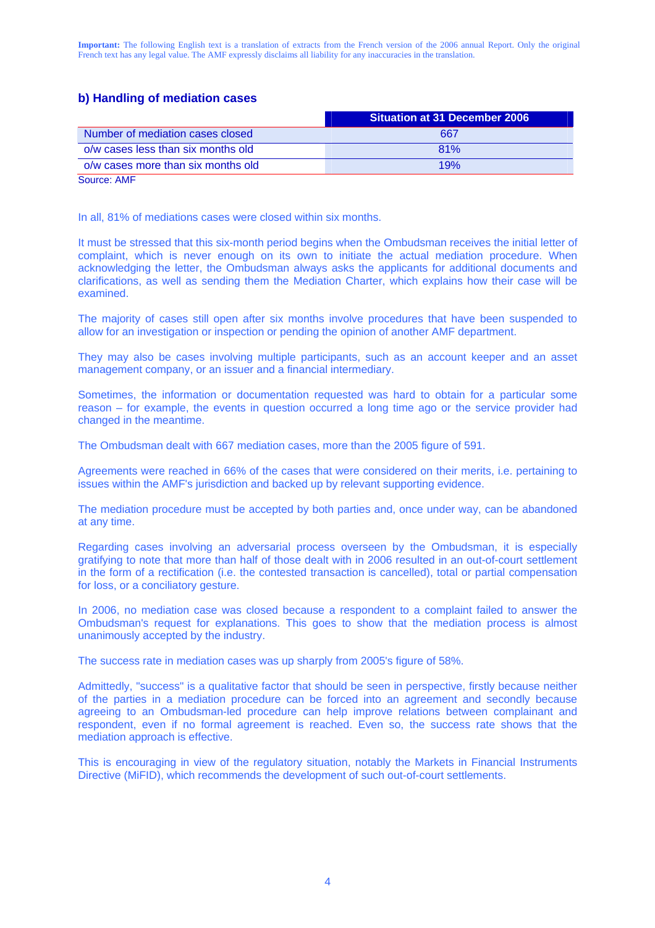## **b) Handling of mediation cases**

|                                    | <b>Situation at 31 December 2006</b> |
|------------------------------------|--------------------------------------|
| Number of mediation cases closed   | 667                                  |
| o/w cases less than six months old | 81%                                  |
| o/w cases more than six months old | 19%                                  |

Source: AMF

In all, 81% of mediations cases were closed within six months.

It must be stressed that this six-month period begins when the Ombudsman receives the initial letter of complaint, which is never enough on its own to initiate the actual mediation procedure. When acknowledging the letter, the Ombudsman always asks the applicants for additional documents and clarifications, as well as sending them the Mediation Charter, which explains how their case will be examined.

The majority of cases still open after six months involve procedures that have been suspended to allow for an investigation or inspection or pending the opinion of another AMF department.

They may also be cases involving multiple participants, such as an account keeper and an asset management company, or an issuer and a financial intermediary.

Sometimes, the information or documentation requested was hard to obtain for a particular some reason – for example, the events in question occurred a long time ago or the service provider had changed in the meantime.

The Ombudsman dealt with 667 mediation cases, more than the 2005 figure of 591.

Agreements were reached in 66% of the cases that were considered on their merits, i.e. pertaining to issues within the AMF's jurisdiction and backed up by relevant supporting evidence.

The mediation procedure must be accepted by both parties and, once under way, can be abandoned at any time.

Regarding cases involving an adversarial process overseen by the Ombudsman, it is especially gratifying to note that more than half of those dealt with in 2006 resulted in an out-of-court settlement in the form of a rectification (i.e. the contested transaction is cancelled), total or partial compensation for loss, or a conciliatory gesture.

In 2006, no mediation case was closed because a respondent to a complaint failed to answer the Ombudsman's request for explanations. This goes to show that the mediation process is almost unanimously accepted by the industry.

The success rate in mediation cases was up sharply from 2005's figure of 58%.

Admittedly, "success" is a qualitative factor that should be seen in perspective, firstly because neither of the parties in a mediation procedure can be forced into an agreement and secondly because agreeing to an Ombudsman-led procedure can help improve relations between complainant and respondent, even if no formal agreement is reached. Even so, the success rate shows that the mediation approach is effective.

This is encouraging in view of the regulatory situation, notably the Markets in Financial Instruments Directive (MiFID), which recommends the development of such out-of-court settlements.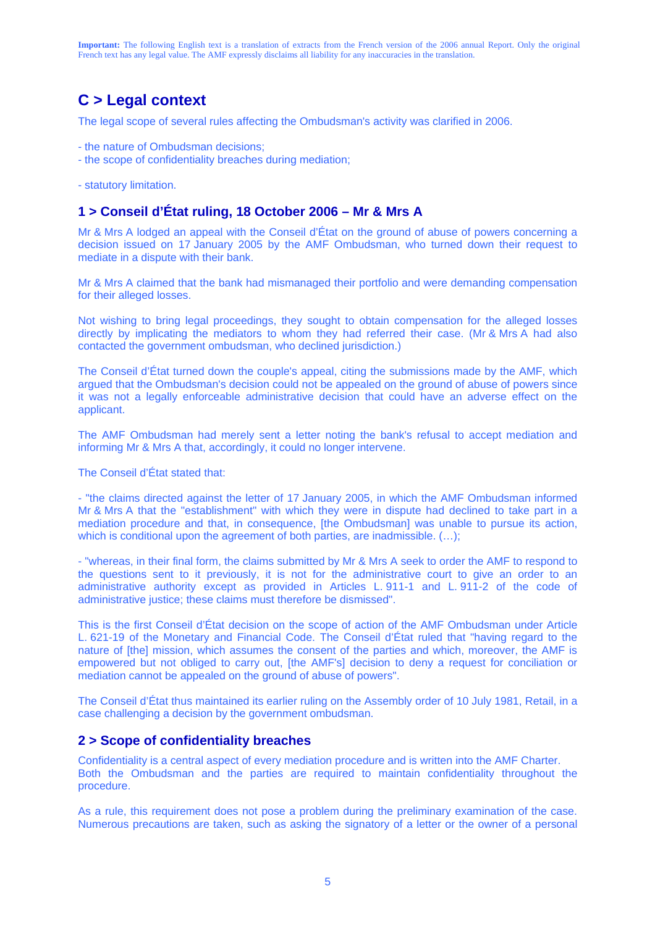## **C > Legal context**

The legal scope of several rules affecting the Ombudsman's activity was clarified in 2006.

- the nature of Ombudsman decisions;
- the scope of confidentiality breaches during mediation;
- statutory limitation.

## **1 > Conseil d'État ruling, 18 October 2006 – Mr & Mrs A**

Mr & Mrs A lodged an appeal with the Conseil d'État on the ground of abuse of powers concerning a decision issued on 17 January 2005 by the AMF Ombudsman, who turned down their request to mediate in a dispute with their bank.

Mr & Mrs A claimed that the bank had mismanaged their portfolio and were demanding compensation for their alleged losses.

Not wishing to bring legal proceedings, they sought to obtain compensation for the alleged losses directly by implicating the mediators to whom they had referred their case. (Mr & Mrs A had also contacted the government ombudsman, who declined jurisdiction.)

The Conseil d'État turned down the couple's appeal, citing the submissions made by the AMF, which argued that the Ombudsman's decision could not be appealed on the ground of abuse of powers since it was not a legally enforceable administrative decision that could have an adverse effect on the applicant.

The AMF Ombudsman had merely sent a letter noting the bank's refusal to accept mediation and informing Mr & Mrs A that, accordingly, it could no longer intervene.

The Conseil d'État stated that:

- "the claims directed against the letter of 17 January 2005, in which the AMF Ombudsman informed Mr & Mrs A that the "establishment" with which they were in dispute had declined to take part in a mediation procedure and that, in consequence, [the Ombudsman] was unable to pursue its action, which is conditional upon the agreement of both parties, are inadmissible. (...);

- "whereas, in their final form, the claims submitted by Mr & Mrs A seek to order the AMF to respond to the questions sent to it previously, it is not for the administrative court to give an order to an administrative authority except as provided in Articles L. 911-1 and L. 911-2 of the code of administrative justice; these claims must therefore be dismissed".

This is the first Conseil d'État decision on the scope of action of the AMF Ombudsman under Article L. 621-19 of the Monetary and Financial Code. The Conseil d'État ruled that "having regard to the nature of [the] mission, which assumes the consent of the parties and which, moreover, the AMF is empowered but not obliged to carry out, [the AMF's] decision to deny a request for conciliation or mediation cannot be appealed on the ground of abuse of powers".

The Conseil d'État thus maintained its earlier ruling on the Assembly order of 10 July 1981, Retail, in a case challenging a decision by the government ombudsman.

#### **2 > Scope of confidentiality breaches**

Confidentiality is a central aspect of every mediation procedure and is written into the AMF Charter. Both the Ombudsman and the parties are required to maintain confidentiality throughout the procedure.

As a rule, this requirement does not pose a problem during the preliminary examination of the case. Numerous precautions are taken, such as asking the signatory of a letter or the owner of a personal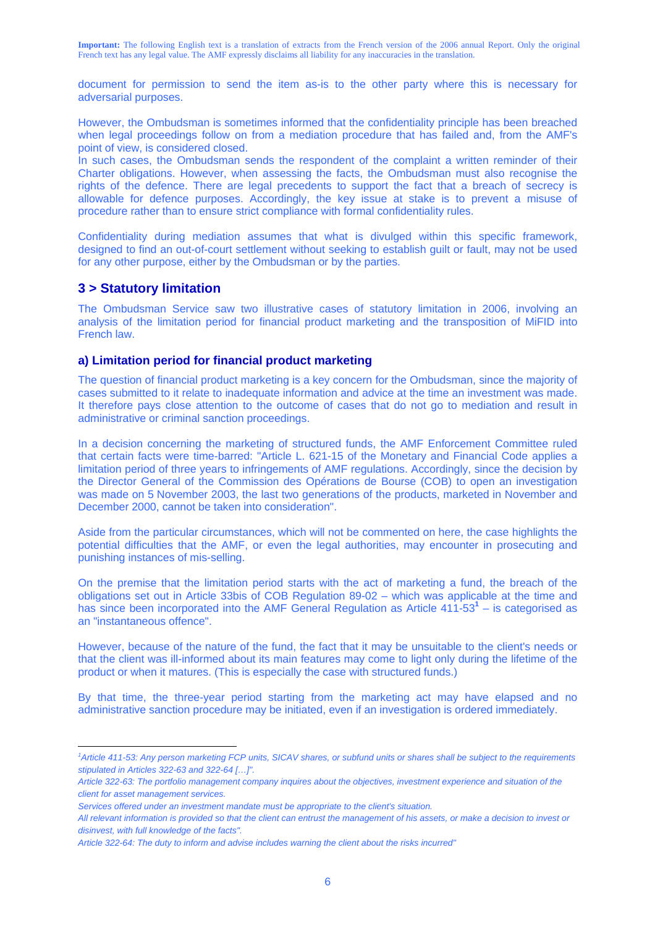document for permission to send the item as-is to the other party where this is necessary for adversarial purposes.

However, the Ombudsman is sometimes informed that the confidentiality principle has been breached when legal proceedings follow on from a mediation procedure that has failed and, from the AMF's point of view, is considered closed.

In such cases, the Ombudsman sends the respondent of the complaint a written reminder of their Charter obligations. However, when assessing the facts, the Ombudsman must also recognise the rights of the defence. There are legal precedents to support the fact that a breach of secrecy is allowable for defence purposes. Accordingly, the key issue at stake is to prevent a misuse of procedure rather than to ensure strict compliance with formal confidentiality rules.

Confidentiality during mediation assumes that what is divulged within this specific framework, designed to find an out-of-court settlement without seeking to establish guilt or fault, may not be used for any other purpose, either by the Ombudsman or by the parties.

## **3 > Statutory limitation**

 $\overline{a}$ 

The Ombudsman Service saw two illustrative cases of statutory limitation in 2006, involving an analysis of the limitation period for financial product marketing and the transposition of MiFID into French law.

#### **a) Limitation period for financial product marketing**

The question of financial product marketing is a key concern for the Ombudsman, since the majority of cases submitted to it relate to inadequate information and advice at the time an investment was made. It therefore pays close attention to the outcome of cases that do not go to mediation and result in administrative or criminal sanction proceedings.

In a decision concerning the marketing of structured funds, the AMF Enforcement Committee ruled that certain facts were time-barred: "Article L. 621-15 of the Monetary and Financial Code applies a limitation period of three years to infringements of AMF regulations. Accordingly, since the decision by the Director General of the Commission des Opérations de Bourse (COB) to open an investigation was made on 5 November 2003, the last two generations of the products, marketed in November and December 2000, cannot be taken into consideration".

Aside from the particular circumstances, which will not be commented on here, the case highlights the potential difficulties that the AMF, or even the legal authorities, may encounter in prosecuting and punishing instances of mis-selling.

On the premise that the limitation period starts with the act of marketing a fund, the breach of the obligations set out in Article 33bis of COB Regulation 89-02 – which was applicable at the time and has since been incorporated into the AMF General Regulation as Article 411-53<sup>1</sup> – is categorised as an "instantaneous offence".

However, because of the nature of the fund, the fact that it may be unsuitable to the client's needs or that the client was ill-informed about its main features may come to light only during the lifetime of the product or when it matures. (This is especially the case with structured funds.)

By that time, the three-year period starting from the marketing act may have elapsed and no administrative sanction procedure may be initiated, even if an investigation is ordered immediately.

<sup>&</sup>lt;sup>1</sup> Article 411-53: Any person marketing FCP units, SICAV shares, or subfund units or shares shall be subject to the requirements *stipulated in Articles 322-63 and 322-64 […]".* 

*Article 322-63: The portfolio management company inquires about the objectives, investment experience and situation of the client for asset management services.* 

*Services offered under an investment mandate must be appropriate to the client's situation.* 

*All relevant information is provided so that the client can entrust the management of his assets, or make a decision to invest or disinvest, with full knowledge of the facts".* 

*Article 322-64: The duty to inform and advise includes warning the client about the risks incurred"*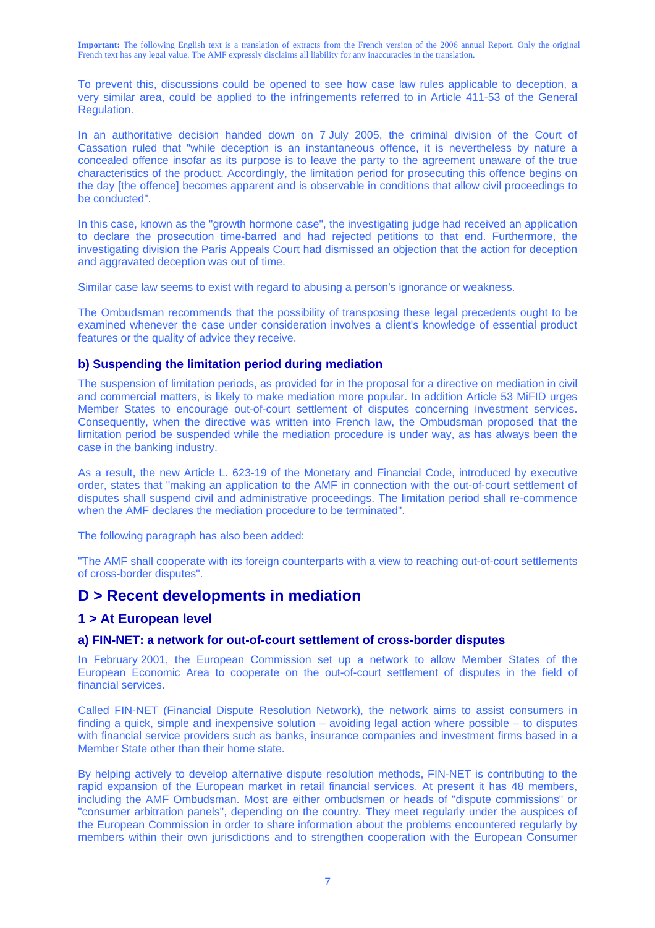To prevent this, discussions could be opened to see how case law rules applicable to deception, a very similar area, could be applied to the infringements referred to in Article 411-53 of the General Regulation.

In an authoritative decision handed down on 7 July 2005, the criminal division of the Court of Cassation ruled that "while deception is an instantaneous offence, it is nevertheless by nature a concealed offence insofar as its purpose is to leave the party to the agreement unaware of the true characteristics of the product. Accordingly, the limitation period for prosecuting this offence begins on the day [the offence] becomes apparent and is observable in conditions that allow civil proceedings to be conducted".

In this case, known as the "growth hormone case", the investigating judge had received an application to declare the prosecution time-barred and had rejected petitions to that end. Furthermore, the investigating division the Paris Appeals Court had dismissed an objection that the action for deception and aggravated deception was out of time.

Similar case law seems to exist with regard to abusing a person's ignorance or weakness.

The Ombudsman recommends that the possibility of transposing these legal precedents ought to be examined whenever the case under consideration involves a client's knowledge of essential product features or the quality of advice they receive.

#### **b) Suspending the limitation period during mediation**

The suspension of limitation periods, as provided for in the proposal for a directive on mediation in civil and commercial matters, is likely to make mediation more popular. In addition Article 53 MiFID urges Member States to encourage out-of-court settlement of disputes concerning investment services. Consequently, when the directive was written into French law, the Ombudsman proposed that the limitation period be suspended while the mediation procedure is under way, as has always been the case in the banking industry.

As a result, the new Article L. 623-19 of the Monetary and Financial Code, introduced by executive order, states that "making an application to the AMF in connection with the out-of-court settlement of disputes shall suspend civil and administrative proceedings. The limitation period shall re-commence when the AMF declares the mediation procedure to be terminated".

The following paragraph has also been added:

"The AMF shall cooperate with its foreign counterparts with a view to reaching out-of-court settlements of cross-border disputes".

## **D > Recent developments in mediation**

#### **1 > At European level**

#### **a) FIN-NET: a network for out-of-court settlement of cross-border disputes**

In February 2001, the European Commission set up a network to allow Member States of the European Economic Area to cooperate on the out-of-court settlement of disputes in the field of financial services.

Called FIN-NET (Financial Dispute Resolution Network), the network aims to assist consumers in finding a quick, simple and inexpensive solution – avoiding legal action where possible – to disputes with financial service providers such as banks, insurance companies and investment firms based in a Member State other than their home state.

By helping actively to develop alternative dispute resolution methods, FIN-NET is contributing to the rapid expansion of the European market in retail financial services. At present it has 48 members, including the AMF Ombudsman. Most are either ombudsmen or heads of "dispute commissions" or "consumer arbitration panels", depending on the country. They meet regularly under the auspices of the European Commission in order to share information about the problems encountered regularly by members within their own jurisdictions and to strengthen cooperation with the European Consumer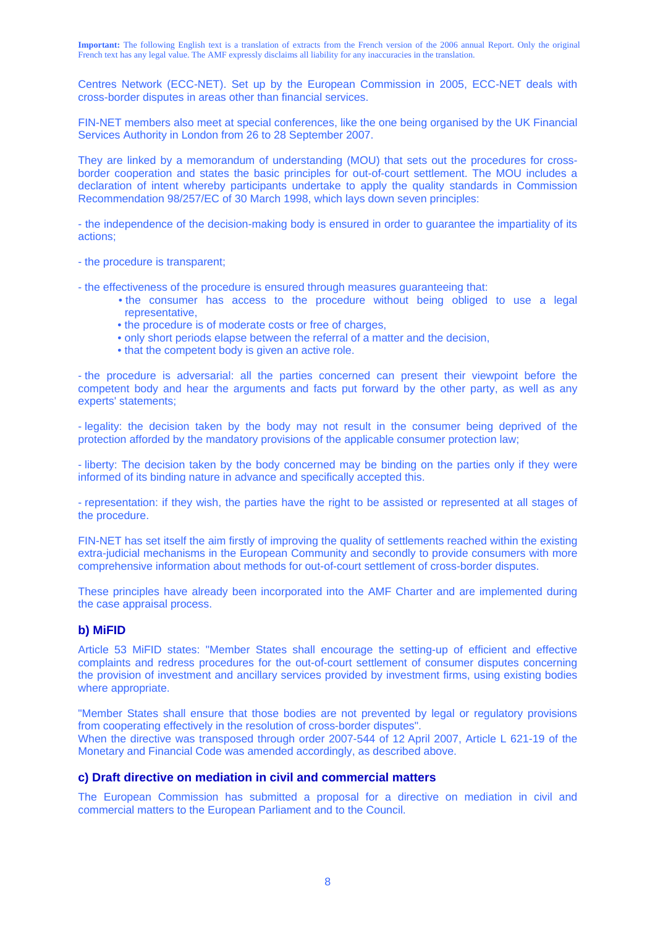Centres Network (ECC-NET). Set up by the European Commission in 2005, ECC-NET deals with cross-border disputes in areas other than financial services.

FIN-NET members also meet at special conferences, like the one being organised by the UK Financial Services Authority in London from 26 to 28 September 2007.

They are linked by a memorandum of understanding (MOU) that sets out the procedures for crossborder cooperation and states the basic principles for out-of-court settlement. The MOU includes a declaration of intent whereby participants undertake to apply the quality standards in Commission Recommendation 98/257/EC of 30 March 1998, which lays down seven principles:

- the independence of the decision-making body is ensured in order to guarantee the impartiality of its actions;

- the procedure is transparent;

- the effectiveness of the procedure is ensured through measures guaranteeing that:

- the consumer has access to the procedure without being obliged to use a legal representative,
- the procedure is of moderate costs or free of charges,
- only short periods elapse between the referral of a matter and the decision,
- that the competent body is given an active role.

- the procedure is adversarial: all the parties concerned can present their viewpoint before the competent body and hear the arguments and facts put forward by the other party, as well as any experts' statements;

- legality: the decision taken by the body may not result in the consumer being deprived of the protection afforded by the mandatory provisions of the applicable consumer protection law;

- liberty: The decision taken by the body concerned may be binding on the parties only if they were informed of its binding nature in advance and specifically accepted this.

- representation: if they wish, the parties have the right to be assisted or represented at all stages of the procedure.

FIN-NET has set itself the aim firstly of improving the quality of settlements reached within the existing extra-judicial mechanisms in the European Community and secondly to provide consumers with more comprehensive information about methods for out-of-court settlement of cross-border disputes.

These principles have already been incorporated into the AMF Charter and are implemented during the case appraisal process.

#### **b) MiFID**

Article 53 MiFID states: "Member States shall encourage the setting-up of efficient and effective complaints and redress procedures for the out-of-court settlement of consumer disputes concerning the provision of investment and ancillary services provided by investment firms, using existing bodies where appropriate.

"Member States shall ensure that those bodies are not prevented by legal or regulatory provisions from cooperating effectively in the resolution of cross-border disputes".

When the directive was transposed through order 2007-544 of 12 April 2007, Article L 621-19 of the Monetary and Financial Code was amended accordingly, as described above.

## **c) Draft directive on mediation in civil and commercial matters**

The European Commission has submitted a proposal for a directive on mediation in civil and commercial matters to the European Parliament and to the Council.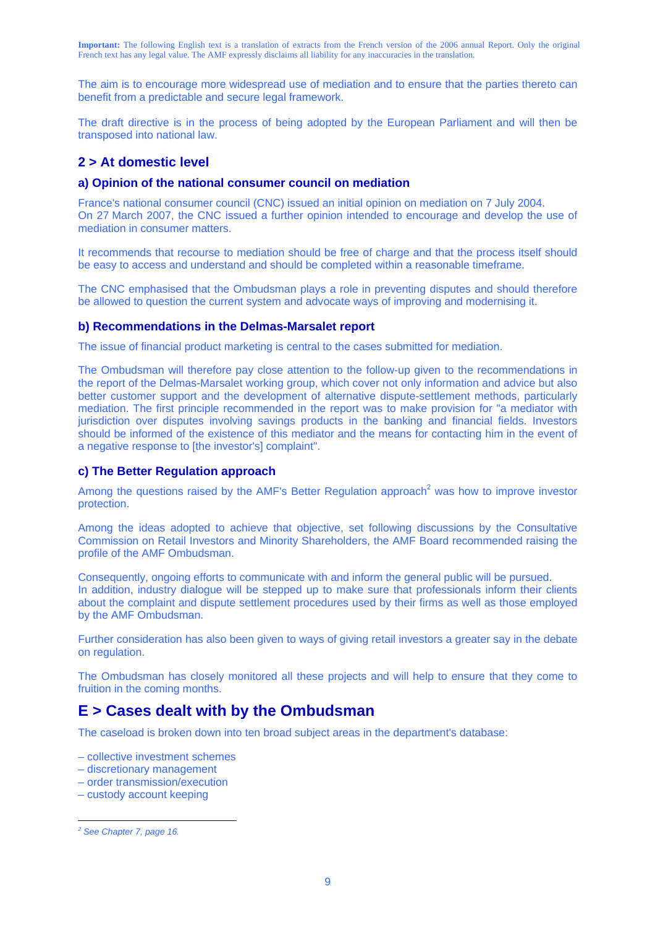The aim is to encourage more widespread use of mediation and to ensure that the parties thereto can benefit from a predictable and secure legal framework.

The draft directive is in the process of being adopted by the European Parliament and will then be transposed into national law.

## **2 > At domestic level**

#### **a) Opinion of the national consumer council on mediation**

France's national consumer council (CNC) issued an initial opinion on mediation on 7 July 2004. On 27 March 2007, the CNC issued a further opinion intended to encourage and develop the use of mediation in consumer matters.

It recommends that recourse to mediation should be free of charge and that the process itself should be easy to access and understand and should be completed within a reasonable timeframe.

The CNC emphasised that the Ombudsman plays a role in preventing disputes and should therefore be allowed to question the current system and advocate ways of improving and modernising it.

#### **b) Recommendations in the Delmas-Marsalet report**

The issue of financial product marketing is central to the cases submitted for mediation.

The Ombudsman will therefore pay close attention to the follow-up given to the recommendations in the report of the Delmas-Marsalet working group, which cover not only information and advice but also better customer support and the development of alternative dispute-settlement methods, particularly mediation. The first principle recommended in the report was to make provision for "a mediator with jurisdiction over disputes involving savings products in the banking and financial fields. Investors should be informed of the existence of this mediator and the means for contacting him in the event of a negative response to [the investor's] complaint".

#### **c) The Better Regulation approach**

Among the questions raised by the AMF's Better Regulation approach<sup>2</sup> was how to improve investor protection.

Among the ideas adopted to achieve that objective, set following discussions by the Consultative Commission on Retail Investors and Minority Shareholders, the AMF Board recommended raising the profile of the AMF Ombudsman.

Consequently, ongoing efforts to communicate with and inform the general public will be pursued. In addition, industry dialogue will be stepped up to make sure that professionals inform their clients about the complaint and dispute settlement procedures used by their firms as well as those employed by the AMF Ombudsman.

Further consideration has also been given to ways of giving retail investors a greater say in the debate on regulation.

The Ombudsman has closely monitored all these projects and will help to ensure that they come to fruition in the coming months.

## **E > Cases dealt with by the Ombudsman**

The caseload is broken down into ten broad subject areas in the department's database:

- collective investment schemes
- discretionary management
- order transmission/execution
- custody account keeping

 $\overline{a}$ 

*<sup>2</sup> See Chapter 7, page 16.*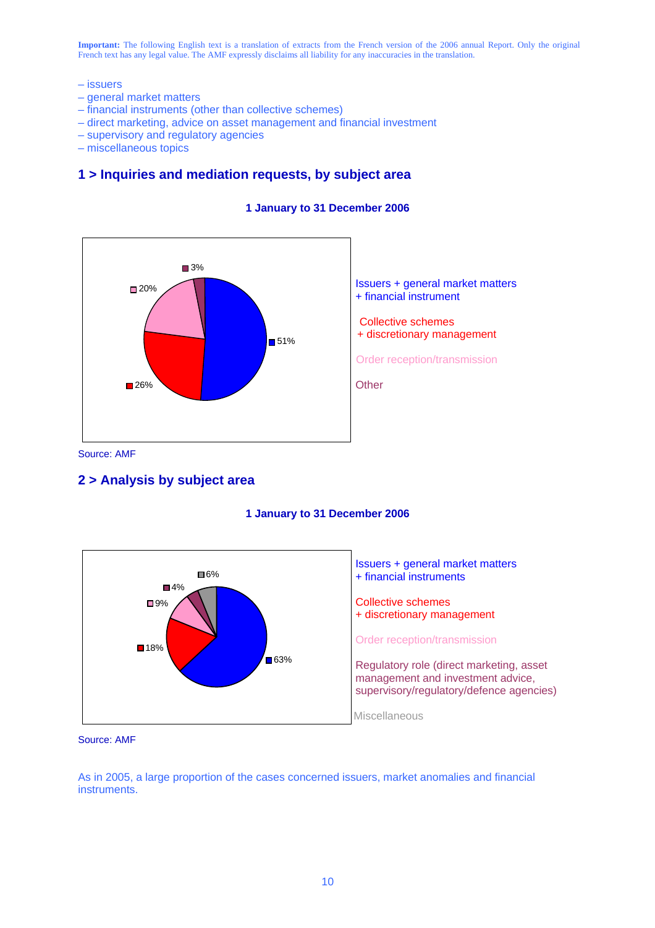- issuers
- general market matters
- financial instruments (other than collective schemes)
- direct marketing, advice on asset management and financial investment
- supervisory and regulatory agencies
- miscellaneous topics

## **1 > Inquiries and mediation requests, by subject area**



#### **1 January to 31 December 2006**

Source: AMF

### **2 > Analysis by subject area**





Source: AMF

As in 2005, a large proportion of the cases concerned issuers, market anomalies and financial instruments.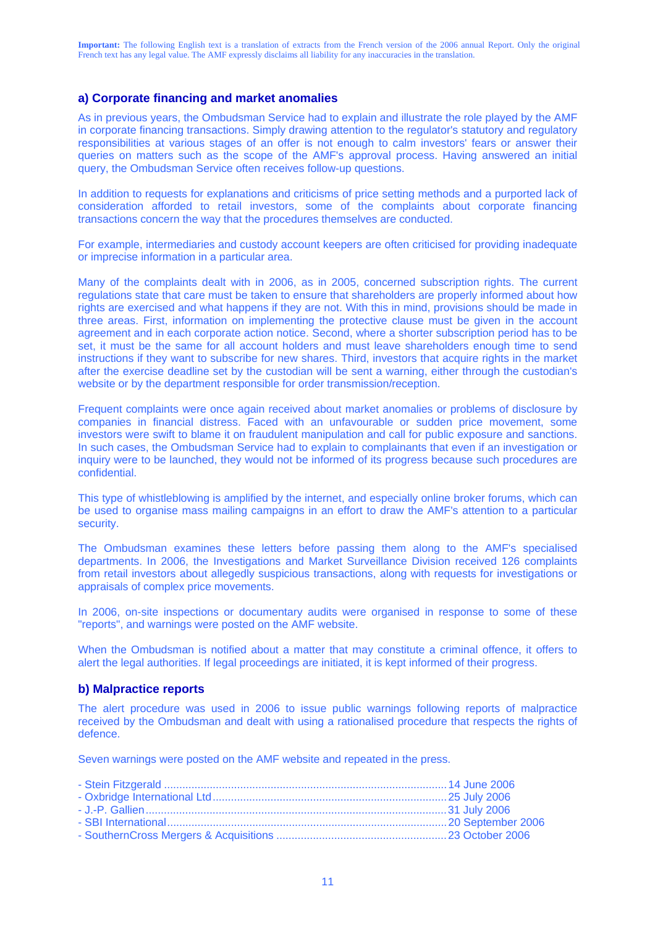#### **a) Corporate financing and market anomalies**

As in previous years, the Ombudsman Service had to explain and illustrate the role played by the AMF in corporate financing transactions. Simply drawing attention to the regulator's statutory and regulatory responsibilities at various stages of an offer is not enough to calm investors' fears or answer their queries on matters such as the scope of the AMF's approval process. Having answered an initial query, the Ombudsman Service often receives follow-up questions.

In addition to requests for explanations and criticisms of price setting methods and a purported lack of consideration afforded to retail investors, some of the complaints about corporate financing transactions concern the way that the procedures themselves are conducted.

For example, intermediaries and custody account keepers are often criticised for providing inadequate or imprecise information in a particular area.

Many of the complaints dealt with in 2006, as in 2005, concerned subscription rights. The current regulations state that care must be taken to ensure that shareholders are properly informed about how rights are exercised and what happens if they are not. With this in mind, provisions should be made in three areas. First, information on implementing the protective clause must be given in the account agreement and in each corporate action notice. Second, where a shorter subscription period has to be set, it must be the same for all account holders and must leave shareholders enough time to send instructions if they want to subscribe for new shares. Third, investors that acquire rights in the market after the exercise deadline set by the custodian will be sent a warning, either through the custodian's website or by the department responsible for order transmission/reception.

Frequent complaints were once again received about market anomalies or problems of disclosure by companies in financial distress. Faced with an unfavourable or sudden price movement, some investors were swift to blame it on fraudulent manipulation and call for public exposure and sanctions. In such cases, the Ombudsman Service had to explain to complainants that even if an investigation or inquiry were to be launched, they would not be informed of its progress because such procedures are confidential.

This type of whistleblowing is amplified by the internet, and especially online broker forums, which can be used to organise mass mailing campaigns in an effort to draw the AMF's attention to a particular security.

The Ombudsman examines these letters before passing them along to the AMF's specialised departments. In 2006, the Investigations and Market Surveillance Division received 126 complaints from retail investors about allegedly suspicious transactions, along with requests for investigations or appraisals of complex price movements.

In 2006, on-site inspections or documentary audits were organised in response to some of these "reports", and warnings were posted on the AMF website.

When the Ombudsman is notified about a matter that may constitute a criminal offence, it offers to alert the legal authorities. If legal proceedings are initiated, it is kept informed of their progress.

#### **b) Malpractice reports**

The alert procedure was used in 2006 to issue public warnings following reports of malpractice received by the Ombudsman and dealt with using a rationalised procedure that respects the rights of defence.

Seven warnings were posted on the AMF website and repeated in the press.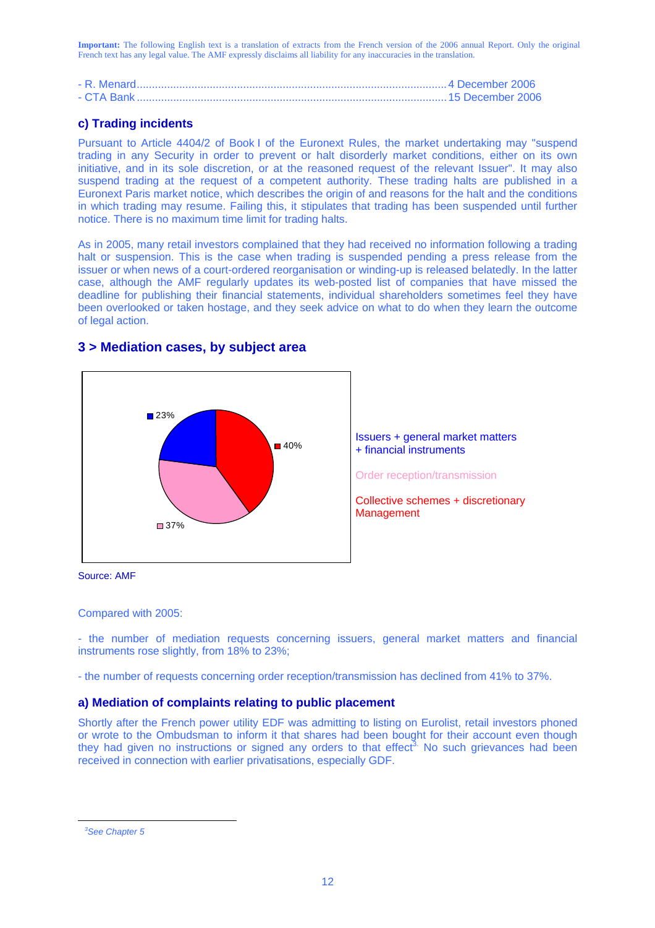## **c) Trading incidents**

Pursuant to Article 4404/2 of Book I of the Euronext Rules, the market undertaking may "suspend trading in any Security in order to prevent or halt disorderly market conditions, either on its own initiative, and in its sole discretion, or at the reasoned request of the relevant Issuer". It may also suspend trading at the request of a competent authority. These trading halts are published in a Euronext Paris market notice, which describes the origin of and reasons for the halt and the conditions in which trading may resume. Failing this, it stipulates that trading has been suspended until further notice. There is no maximum time limit for trading halts.

As in 2005, many retail investors complained that they had received no information following a trading halt or suspension. This is the case when trading is suspended pending a press release from the issuer or when news of a court-ordered reorganisation or winding-up is released belatedly. In the latter case, although the AMF regularly updates its web-posted list of companies that have missed the deadline for publishing their financial statements, individual shareholders sometimes feel they have been overlooked or taken hostage, and they seek advice on what to do when they learn the outcome of legal action.





Issuers + general market matters + financial instruments

Order reception/transmission

Collective schemes + discretionary Management

Source: AMF

#### Compared with 2005:

- the number of mediation requests concerning issuers, general market matters and financial instruments rose slightly, from 18% to 23%;

- the number of requests concerning order reception/transmission has declined from 41% to 37%.

### **a) Mediation of complaints relating to public placement**

Shortly after the French power utility EDF was admitting to listing on Eurolist, retail investors phoned or wrote to the Ombudsman to inform it that shares had been bought for their account even though they had given no instructions or signed any orders to that effect<sup>3.</sup> No such grievances had been received in connection with earlier privatisations, especially GDF.

 $\overline{a}$ 

*<sup>3</sup> See Chapter 5*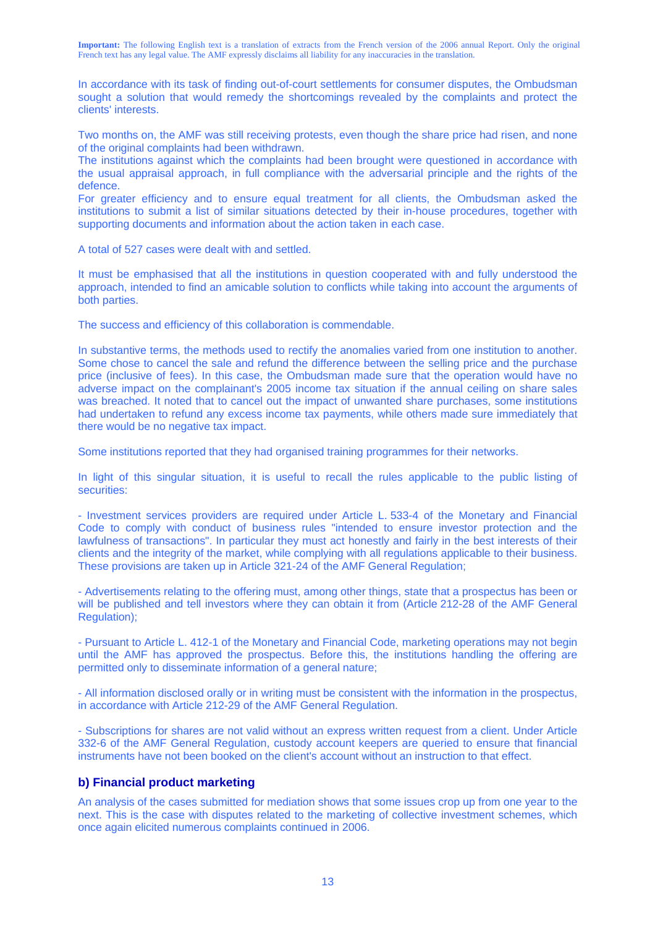In accordance with its task of finding out-of-court settlements for consumer disputes, the Ombudsman sought a solution that would remedy the shortcomings revealed by the complaints and protect the clients' interests.

Two months on, the AMF was still receiving protests, even though the share price had risen, and none of the original complaints had been withdrawn.

The institutions against which the complaints had been brought were questioned in accordance with the usual appraisal approach, in full compliance with the adversarial principle and the rights of the defence.

For greater efficiency and to ensure equal treatment for all clients, the Ombudsman asked the institutions to submit a list of similar situations detected by their in-house procedures, together with supporting documents and information about the action taken in each case.

A total of 527 cases were dealt with and settled.

It must be emphasised that all the institutions in question cooperated with and fully understood the approach, intended to find an amicable solution to conflicts while taking into account the arguments of both parties.

The success and efficiency of this collaboration is commendable.

In substantive terms, the methods used to rectify the anomalies varied from one institution to another. Some chose to cancel the sale and refund the difference between the selling price and the purchase price (inclusive of fees). In this case, the Ombudsman made sure that the operation would have no adverse impact on the complainant's 2005 income tax situation if the annual ceiling on share sales was breached. It noted that to cancel out the impact of unwanted share purchases, some institutions had undertaken to refund any excess income tax payments, while others made sure immediately that there would be no negative tax impact.

Some institutions reported that they had organised training programmes for their networks.

In light of this singular situation, it is useful to recall the rules applicable to the public listing of securities:

- Investment services providers are required under Article L. 533-4 of the Monetary and Financial Code to comply with conduct of business rules "intended to ensure investor protection and the lawfulness of transactions". In particular they must act honestly and fairly in the best interests of their clients and the integrity of the market, while complying with all regulations applicable to their business. These provisions are taken up in Article 321-24 of the AMF General Regulation;

- Advertisements relating to the offering must, among other things, state that a prospectus has been or will be published and tell investors where they can obtain it from (Article 212-28 of the AMF General Regulation);

- Pursuant to Article L. 412-1 of the Monetary and Financial Code, marketing operations may not begin until the AMF has approved the prospectus. Before this, the institutions handling the offering are permitted only to disseminate information of a general nature;

- All information disclosed orally or in writing must be consistent with the information in the prospectus, in accordance with Article 212-29 of the AMF General Regulation.

- Subscriptions for shares are not valid without an express written request from a client. Under Article 332-6 of the AMF General Regulation, custody account keepers are queried to ensure that financial instruments have not been booked on the client's account without an instruction to that effect.

#### **b) Financial product marketing**

An analysis of the cases submitted for mediation shows that some issues crop up from one year to the next. This is the case with disputes related to the marketing of collective investment schemes, which once again elicited numerous complaints continued in 2006.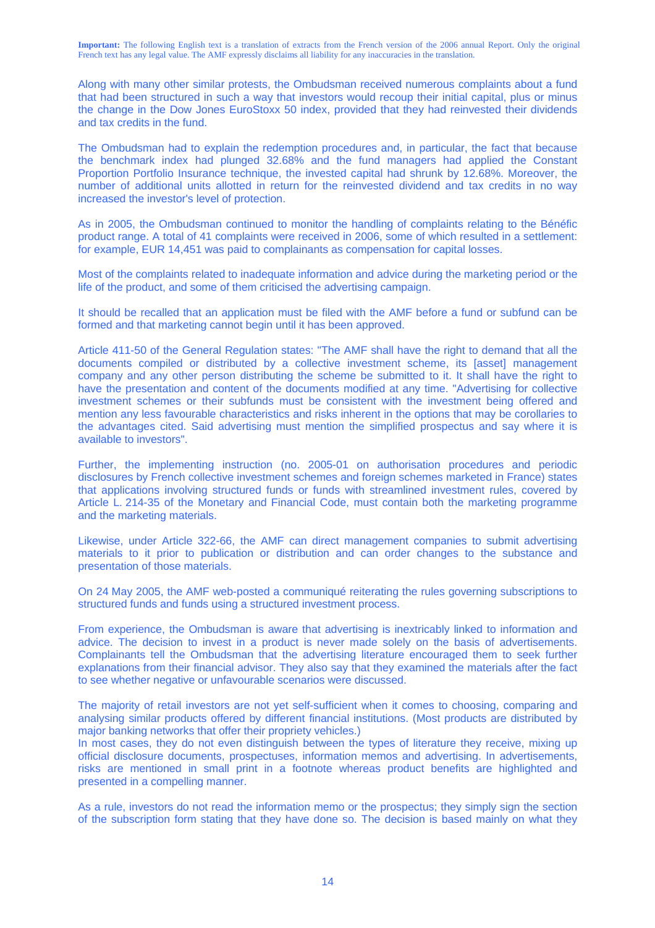Along with many other similar protests, the Ombudsman received numerous complaints about a fund that had been structured in such a way that investors would recoup their initial capital, plus or minus the change in the Dow Jones EuroStoxx 50 index, provided that they had reinvested their dividends and tax credits in the fund.

The Ombudsman had to explain the redemption procedures and, in particular, the fact that because the benchmark index had plunged 32.68% and the fund managers had applied the Constant Proportion Portfolio Insurance technique, the invested capital had shrunk by 12.68%. Moreover, the number of additional units allotted in return for the reinvested dividend and tax credits in no way increased the investor's level of protection.

As in 2005, the Ombudsman continued to monitor the handling of complaints relating to the Bénéfic product range. A total of 41 complaints were received in 2006, some of which resulted in a settlement: for example, EUR 14,451 was paid to complainants as compensation for capital losses.

Most of the complaints related to inadequate information and advice during the marketing period or the life of the product, and some of them criticised the advertising campaign.

It should be recalled that an application must be filed with the AMF before a fund or subfund can be formed and that marketing cannot begin until it has been approved.

Article 411-50 of the General Regulation states: "The AMF shall have the right to demand that all the documents compiled or distributed by a collective investment scheme, its [asset] management company and any other person distributing the scheme be submitted to it. It shall have the right to have the presentation and content of the documents modified at any time. "Advertising for collective investment schemes or their subfunds must be consistent with the investment being offered and mention any less favourable characteristics and risks inherent in the options that may be corollaries to the advantages cited. Said advertising must mention the simplified prospectus and say where it is available to investors".

Further, the implementing instruction (no. 2005-01 on authorisation procedures and periodic disclosures by French collective investment schemes and foreign schemes marketed in France) states that applications involving structured funds or funds with streamlined investment rules, covered by Article L. 214-35 of the Monetary and Financial Code, must contain both the marketing programme and the marketing materials.

Likewise, under Article 322-66, the AMF can direct management companies to submit advertising materials to it prior to publication or distribution and can order changes to the substance and presentation of those materials.

On 24 May 2005, the AMF web-posted a communiqué reiterating the rules governing subscriptions to structured funds and funds using a structured investment process.

From experience, the Ombudsman is aware that advertising is inextricably linked to information and advice. The decision to invest in a product is never made solely on the basis of advertisements. Complainants tell the Ombudsman that the advertising literature encouraged them to seek further explanations from their financial advisor. They also say that they examined the materials after the fact to see whether negative or unfavourable scenarios were discussed.

The majority of retail investors are not yet self-sufficient when it comes to choosing, comparing and analysing similar products offered by different financial institutions. (Most products are distributed by major banking networks that offer their propriety vehicles.)

In most cases, they do not even distinguish between the types of literature they receive, mixing up official disclosure documents, prospectuses, information memos and advertising. In advertisements, risks are mentioned in small print in a footnote whereas product benefits are highlighted and presented in a compelling manner.

As a rule, investors do not read the information memo or the prospectus; they simply sign the section of the subscription form stating that they have done so. The decision is based mainly on what they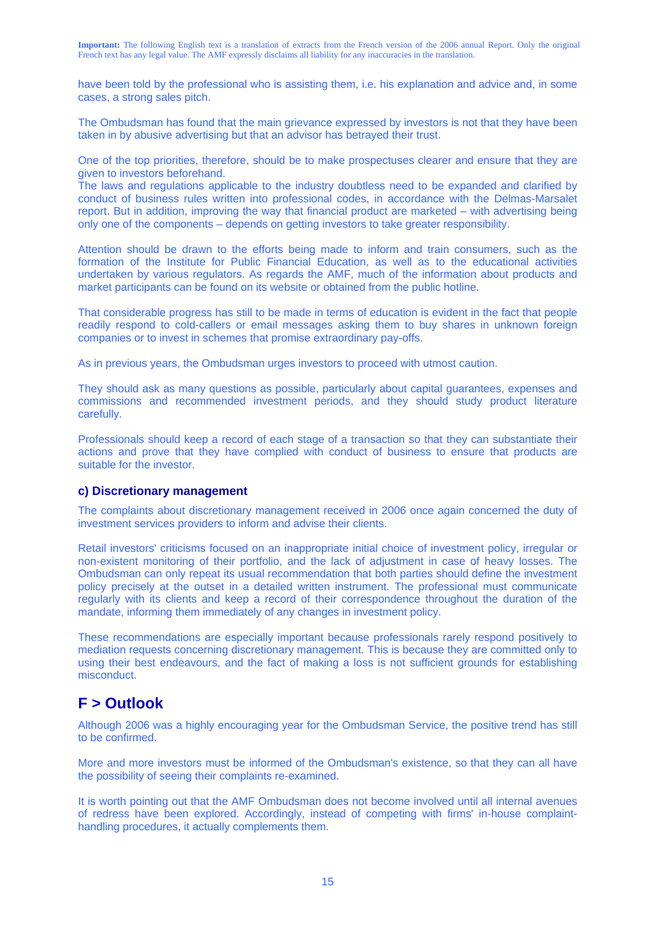have been told by the professional who is assisting them, i.e. his explanation and advice and, in some cases, a strong sales pitch.

The Ombudsman has found that the main grievance expressed by investors is not that they have been taken in by abusive advertising but that an advisor has betrayed their trust.

One of the top priorities, therefore, should be to make prospectuses clearer and ensure that they are given to investors beforehand.

The laws and regulations applicable to the industry doubtless need to be expanded and clarified by conduct of business rules written into professional codes, in accordance with the Delmas-Marsalet report. But in addition, improving the way that financial product are marketed – with advertising being only one of the components – depends on getting investors to take greater responsibility.

Attention should be drawn to the efforts being made to inform and train consumers, such as the formation of the Institute for Public Financial Education, as well as to the educational activities undertaken by various regulators. As regards the AMF, much of the information about products and market participants can be found on its website or obtained from the public hotline.

That considerable progress has still to be made in terms of education is evident in the fact that people readily respond to cold-callers or email messages asking them to buy shares in unknown foreign companies or to invest in schemes that promise extraordinary pay-offs.

As in previous years, the Ombudsman urges investors to proceed with utmost caution.

They should ask as many questions as possible, particularly about capital guarantees, expenses and commissions and recommended investment periods, and they should study product literature carefully.

Professionals should keep a record of each stage of a transaction so that they can substantiate their actions and prove that they have complied with conduct of business to ensure that products are suitable for the investor.

#### **c) Discretionary management**

The complaints about discretionary management received in 2006 once again concerned the duty of investment services providers to inform and advise their clients.

Retail investors' criticisms focused on an inappropriate initial choice of investment policy, irregular or non-existent monitoring of their portfolio, and the lack of adjustment in case of heavy losses. The Ombudsman can only repeat its usual recommendation that both parties should define the investment policy precisely at the outset in a detailed written instrument. The professional must communicate regularly with its clients and keep a record of their correspondence throughout the duration of the mandate, informing them immediately of any changes in investment policy.

These recommendations are especially important because professionals rarely respond positively to mediation requests concerning discretionary management. This is because they are committed only to using their best endeavours, and the fact of making a loss is not sufficient grounds for establishing misconduct.

## **F > Outlook**

Although 2006 was a highly encouraging year for the Ombudsman Service, the positive trend has still to be confirmed.

More and more investors must be informed of the Ombudsman's existence, so that they can all have the possibility of seeing their complaints re-examined.

It is worth pointing out that the AMF Ombudsman does not become involved until all internal avenues of redress have been explored. Accordingly, instead of competing with firms' in-house complainthandling procedures, it actually complements them.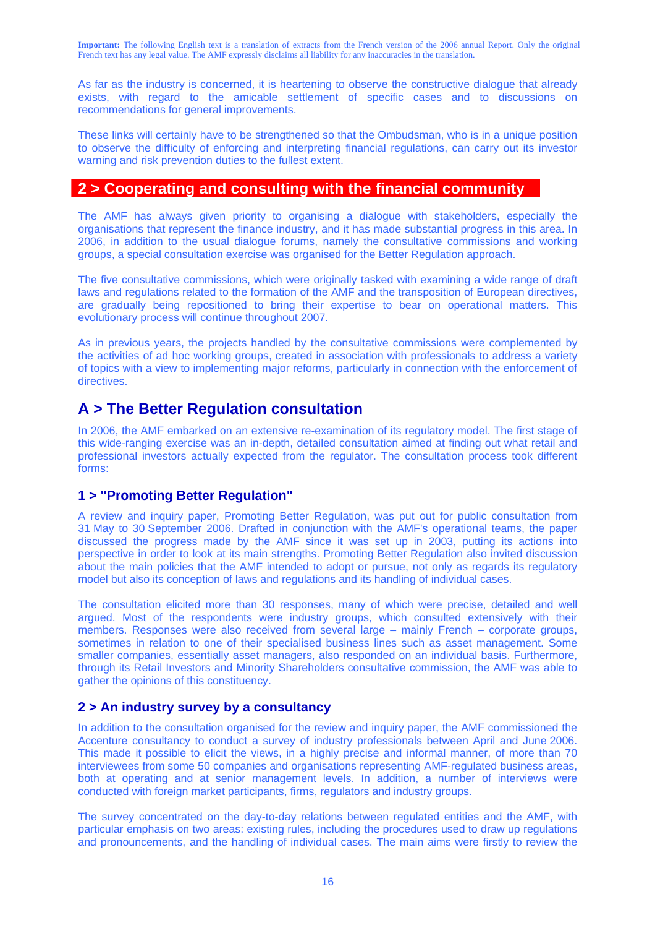As far as the industry is concerned, it is heartening to observe the constructive dialogue that already exists, with regard to the amicable settlement of specific cases and to discussions on recommendations for general improvements.

These links will certainly have to be strengthened so that the Ombudsman, who is in a unique position to observe the difficulty of enforcing and interpreting financial regulations, can carry out its investor warning and risk prevention duties to the fullest extent.

## **2 > Cooperating and consulting with the financial community**

The AMF has always given priority to organising a dialogue with stakeholders, especially the organisations that represent the finance industry, and it has made substantial progress in this area. In 2006, in addition to the usual dialogue forums, namely the consultative commissions and working groups, a special consultation exercise was organised for the Better Regulation approach.

The five consultative commissions, which were originally tasked with examining a wide range of draft laws and regulations related to the formation of the AMF and the transposition of European directives, are gradually being repositioned to bring their expertise to bear on operational matters. This evolutionary process will continue throughout 2007.

As in previous years, the projects handled by the consultative commissions were complemented by the activities of ad hoc working groups, created in association with professionals to address a variety of topics with a view to implementing major reforms, particularly in connection with the enforcement of directives.

## **A > The Better Regulation consultation**

In 2006, the AMF embarked on an extensive re-examination of its regulatory model. The first stage of this wide-ranging exercise was an in-depth, detailed consultation aimed at finding out what retail and professional investors actually expected from the regulator. The consultation process took different forms:

## **1 > "Promoting Better Regulation"**

A review and inquiry paper, Promoting Better Regulation, was put out for public consultation from 31 May to 30 September 2006. Drafted in conjunction with the AMF's operational teams, the paper discussed the progress made by the AMF since it was set up in 2003, putting its actions into perspective in order to look at its main strengths. Promoting Better Regulation also invited discussion about the main policies that the AMF intended to adopt or pursue, not only as regards its regulatory model but also its conception of laws and regulations and its handling of individual cases.

The consultation elicited more than 30 responses, many of which were precise, detailed and well argued. Most of the respondents were industry groups, which consulted extensively with their members. Responses were also received from several large – mainly French – corporate groups, sometimes in relation to one of their specialised business lines such as asset management. Some smaller companies, essentially asset managers, also responded on an individual basis. Furthermore, through its Retail Investors and Minority Shareholders consultative commission, the AMF was able to gather the opinions of this constituency.

## **2 > An industry survey by a consultancy**

In addition to the consultation organised for the review and inquiry paper, the AMF commissioned the Accenture consultancy to conduct a survey of industry professionals between April and June 2006. This made it possible to elicit the views, in a highly precise and informal manner, of more than 70 interviewees from some 50 companies and organisations representing AMF-regulated business areas, both at operating and at senior management levels. In addition, a number of interviews were conducted with foreign market participants, firms, regulators and industry groups.

The survey concentrated on the day-to-day relations between regulated entities and the AMF, with particular emphasis on two areas: existing rules, including the procedures used to draw up regulations and pronouncements, and the handling of individual cases. The main aims were firstly to review the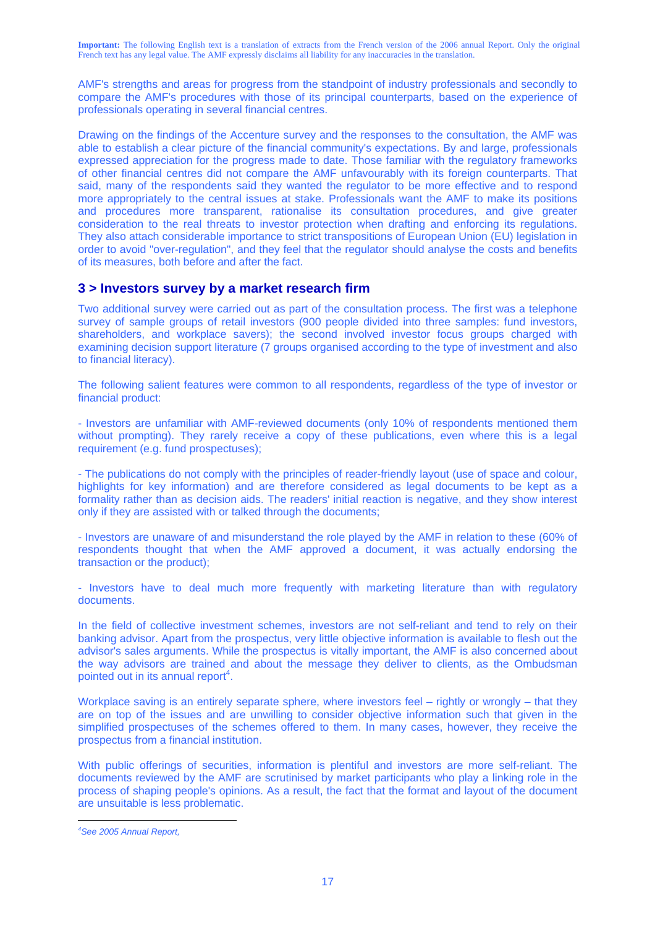AMF's strengths and areas for progress from the standpoint of industry professionals and secondly to compare the AMF's procedures with those of its principal counterparts, based on the experience of professionals operating in several financial centres.

Drawing on the findings of the Accenture survey and the responses to the consultation, the AMF was able to establish a clear picture of the financial community's expectations. By and large, professionals expressed appreciation for the progress made to date. Those familiar with the regulatory frameworks of other financial centres did not compare the AMF unfavourably with its foreign counterparts. That said, many of the respondents said they wanted the regulator to be more effective and to respond more appropriately to the central issues at stake. Professionals want the AMF to make its positions and procedures more transparent, rationalise its consultation procedures, and give greater consideration to the real threats to investor protection when drafting and enforcing its regulations. They also attach considerable importance to strict transpositions of European Union (EU) legislation in order to avoid "over-regulation", and they feel that the regulator should analyse the costs and benefits of its measures, both before and after the fact.

### **3 > Investors survey by a market research firm**

Two additional survey were carried out as part of the consultation process. The first was a telephone survey of sample groups of retail investors (900 people divided into three samples: fund investors, shareholders, and workplace savers); the second involved investor focus groups charged with examining decision support literature (7 groups organised according to the type of investment and also to financial literacy).

The following salient features were common to all respondents, regardless of the type of investor or financial product:

- Investors are unfamiliar with AMF-reviewed documents (only 10% of respondents mentioned them without prompting). They rarely receive a copy of these publications, even where this is a legal requirement (e.g. fund prospectuses);

- The publications do not comply with the principles of reader-friendly layout (use of space and colour, highlights for key information) and are therefore considered as legal documents to be kept as a formality rather than as decision aids. The readers' initial reaction is negative, and they show interest only if they are assisted with or talked through the documents;

- Investors are unaware of and misunderstand the role played by the AMF in relation to these (60% of respondents thought that when the AMF approved a document, it was actually endorsing the transaction or the product);

- Investors have to deal much more frequently with marketing literature than with regulatory documents.

In the field of collective investment schemes, investors are not self-reliant and tend to rely on their banking advisor. Apart from the prospectus, very little objective information is available to flesh out the advisor's sales arguments. While the prospectus is vitally important, the AMF is also concerned about the way advisors are trained and about the message they deliver to clients, as the Ombudsman pointed out in its annual report<sup>4</sup>.

Workplace saving is an entirely separate sphere, where investors feel – rightly or wrongly – that they are on top of the issues and are unwilling to consider objective information such that given in the simplified prospectuses of the schemes offered to them. In many cases, however, they receive the prospectus from a financial institution.

With public offerings of securities, information is plentiful and investors are more self-reliant. The documents reviewed by the AMF are scrutinised by market participants who play a linking role in the process of shaping people's opinions. As a result, the fact that the format and layout of the document are unsuitable is less problematic.

 $\overline{a}$ 

*<sup>4</sup> See 2005 Annual Report,*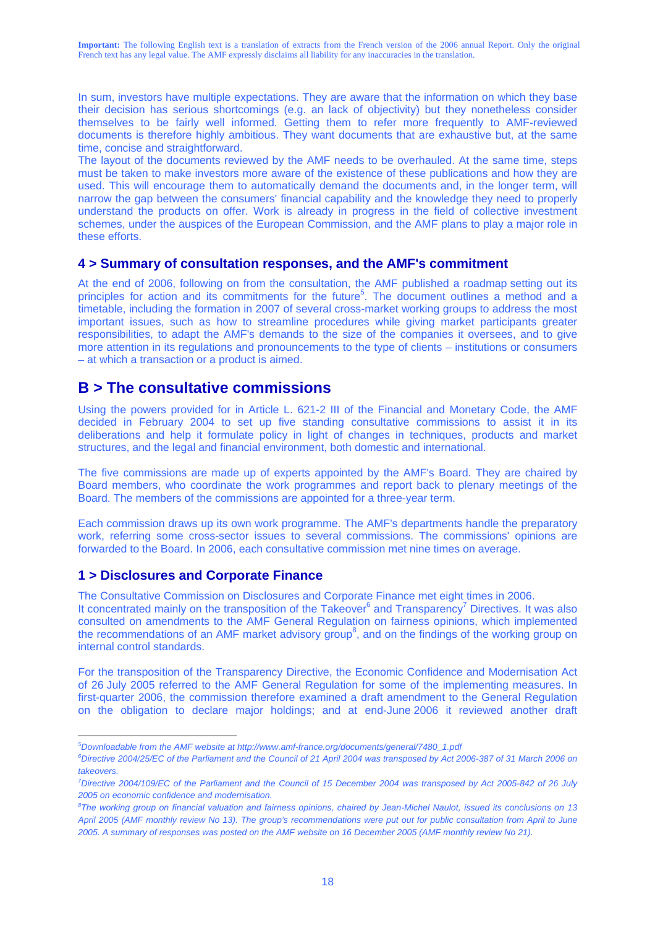In sum, investors have multiple expectations. They are aware that the information on which they base their decision has serious shortcomings (e.g. an lack of objectivity) but they nonetheless consider themselves to be fairly well informed. Getting them to refer more frequently to AMF-reviewed documents is therefore highly ambitious. They want documents that are exhaustive but, at the same time, concise and straightforward.

The layout of the documents reviewed by the AMF needs to be overhauled. At the same time, steps must be taken to make investors more aware of the existence of these publications and how they are used. This will encourage them to automatically demand the documents and, in the longer term, will narrow the gap between the consumers' financial capability and the knowledge they need to properly understand the products on offer. Work is already in progress in the field of collective investment schemes, under the auspices of the European Commission, and the AMF plans to play a major role in these efforts.

### **4 > Summary of consultation responses, and the AMF's commitment**

At the end of 2006, following on from the consultation, the AMF published a roadmap setting out its principles for action and its commitments for the future<sup>5</sup>. The document outlines a method and a timetable, including the formation in 2007 of several cross-market working groups to address the most important issues, such as how to streamline procedures while giving market participants greater responsibilities, to adapt the AMF's demands to the size of the companies it oversees, and to give more attention in its regulations and pronouncements to the type of clients – institutions or consumers – at which a transaction or a product is aimed.

## **B > The consultative commissions**

Using the powers provided for in Article L. 621-2 III of the Financial and Monetary Code, the AMF decided in February 2004 to set up five standing consultative commissions to assist it in its deliberations and help it formulate policy in light of changes in techniques, products and market structures, and the legal and financial environment, both domestic and international.

The five commissions are made up of experts appointed by the AMF's Board. They are chaired by Board members, who coordinate the work programmes and report back to plenary meetings of the Board. The members of the commissions are appointed for a three-year term.

Each commission draws up its own work programme. The AMF's departments handle the preparatory work, referring some cross-sector issues to several commissions. The commissions' opinions are forwarded to the Board. In 2006, each consultative commission met nine times on average.

### **1 > Disclosures and Corporate Finance**

 $\overline{a}$ 

The Consultative Commission on Disclosures and Corporate Finance met eight times in 2006.

It concentrated mainly on the transposition of the Takeover $^6$  and Transparency<sup>7</sup> Directives. It was also consulted on amendments to the AMF General Regulation on fairness opinions, which implemented the recommendations of an AMF market advisory group<sup>8</sup>, and on the findings of the working group on internal control standards.

For the transposition of the Transparency Directive, the Economic Confidence and Modernisation Act of 26 July 2005 referred to the AMF General Regulation for some of the implementing measures. In first-quarter 2006, the commission therefore examined a draft amendment to the General Regulation on the obligation to declare major holdings; and at end-June 2006 it reviewed another draft

*<sup>5</sup> Downloadable from the AMF website at http://www.amf-france.org/documents/general/7480\_1.pdf*

*<sup>6</sup> Directive 2004/25/EC of the Parliament and the Council of 21 April 2004 was transposed by Act 2006-387 of 31 March 2006 on takeovers.* 

*<sup>7</sup> Directive 2004/109/EC of the Parliament and the Council of 15 December 2004 was transposed by Act 2005-842 of 26 July 2005 on economic confidence and modernisation.* 

*<sup>8</sup> The working group on financial valuation and fairness opinions, chaired by Jean-Michel Naulot, issued its conclusions on 13 April 2005 (AMF monthly review No 13). The group's recommendations were put out for public consultation from April to June 2005. A summary of responses was posted on the AMF website on 16 December 2005 (AMF monthly review No 21).*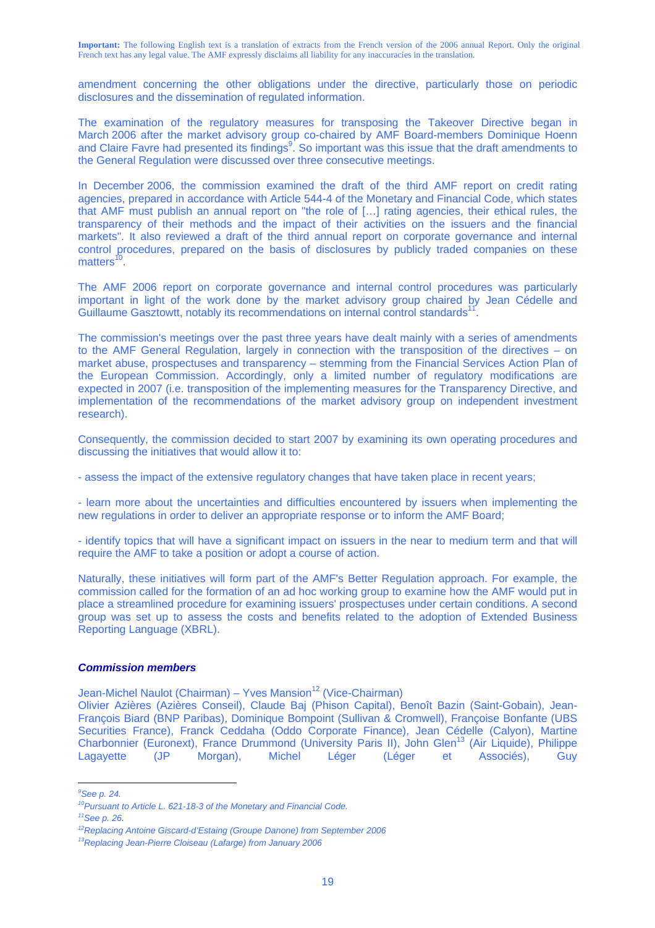amendment concerning the other obligations under the directive, particularly those on periodic disclosures and the dissemination of regulated information.

The examination of the regulatory measures for transposing the Takeover Directive began in March 2006 after the market advisory group co-chaired by AMF Board-members Dominique Hoenn and Claire Favre had presented its findings<sup>9</sup>. So important was this issue that the draft amendments to the General Regulation were discussed over three consecutive meetings.

In December 2006, the commission examined the draft of the third AMF report on credit rating agencies, prepared in accordance with Article 544-4 of the Monetary and Financial Code, which states that AMF must publish an annual report on "the role of […] rating agencies, their ethical rules, the transparency of their methods and the impact of their activities on the issuers and the financial markets". It also reviewed a draft of the third annual report on corporate governance and internal control procedures, prepared on the basis of disclosures by publicly traded companies on these  $matters<sup>10</sup>$ 

The AMF 2006 report on corporate governance and internal control procedures was particularly important in light of the work done by the market advisory group chaired by Jean Cédelle and Guillaume Gasztowtt, notably its recommendations on internal control standards<sup>1</sup>

The commission's meetings over the past three years have dealt mainly with a series of amendments to the AMF General Regulation, largely in connection with the transposition of the directives – on market abuse, prospectuses and transparency – stemming from the Financial Services Action Plan of the European Commission. Accordingly, only a limited number of regulatory modifications are expected in 2007 (i.e. transposition of the implementing measures for the Transparency Directive, and implementation of the recommendations of the market advisory group on independent investment research).

Consequently, the commission decided to start 2007 by examining its own operating procedures and discussing the initiatives that would allow it to:

- assess the impact of the extensive regulatory changes that have taken place in recent years;

- learn more about the uncertainties and difficulties encountered by issuers when implementing the new regulations in order to deliver an appropriate response or to inform the AMF Board;

- identify topics that will have a significant impact on issuers in the near to medium term and that will require the AMF to take a position or adopt a course of action.

Naturally, these initiatives will form part of the AMF's Better Regulation approach. For example, the commission called for the formation of an ad hoc working group to examine how the AMF would put in place a streamlined procedure for examining issuers' prospectuses under certain conditions. A second group was set up to assess the costs and benefits related to the adoption of Extended Business Reporting Language (XBRL).

#### *Commission members*

Jean-Michel Naulot (Chairman) – Yves Mansion<sup>12</sup> (Vice-Chairman)

Olivier Azières (Azières Conseil), Claude Baj (Phison Capital), Benoît Bazin (Saint-Gobain), Jean-François Biard (BNP Paribas), Dominique Bompoint (Sullivan & Cromwell), Françoise Bonfante (UBS Securities France), Franck Ceddaha (Oddo Corporate Finance), Jean Cédelle (Calyon), Martine Charbonnier (Euronext), France Drummond (University Paris II), John Glen<sup>13</sup> (Air Liquide), Philippe Lagayette (JP Morgan), Michel Léger (Léger et Associés), Guy

 $\overline{a}$ *9 See p. 24.* 

*<sup>10</sup>Pursuant to Article L. 621-18-3 of the Monetary and Financial Code.* 

*<sup>11</sup>See p. 26.* 

<sup>&</sup>lt;sup>12</sup>Replacing Antoine Giscard-d'Estaing (Groupe Danone) from September 2006<br><sup>13</sup>Replacing Jean-Pierre Cloiseau (Lafarge) from January 2006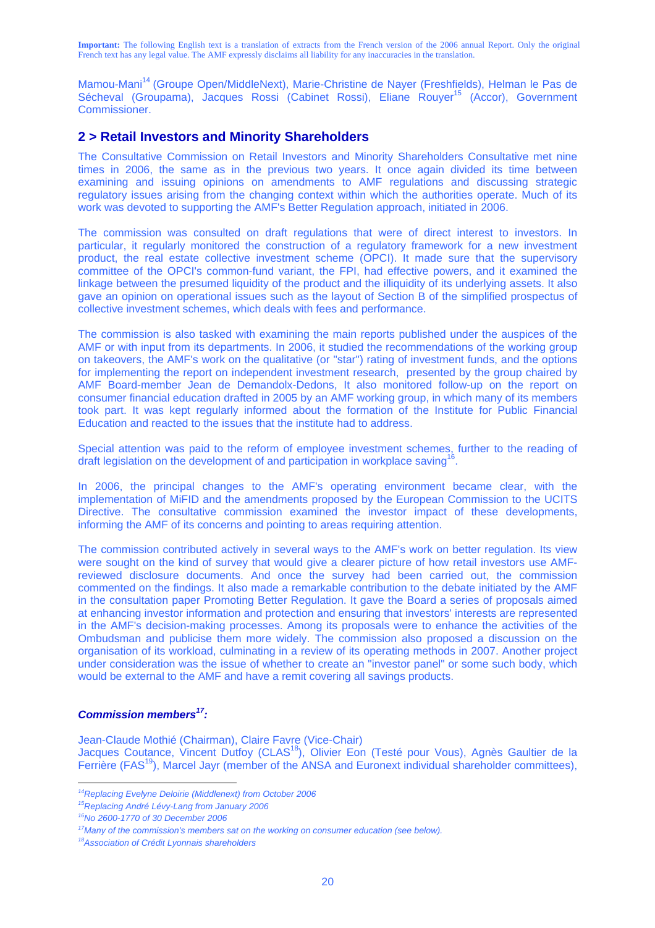Mamou-Mani14 (Groupe Open/MiddleNext), Marie-Christine de Nayer (Freshfields), Helman le Pas de Sécheval (Groupama), Jacques Rossi (Cabinet Rossi), Eliane Rouyer<sup>15</sup> (Accor), Government Commissioner.

### **2 > Retail Investors and Minority Shareholders**

The Consultative Commission on Retail Investors and Minority Shareholders Consultative met nine times in 2006, the same as in the previous two years. It once again divided its time between examining and issuing opinions on amendments to AMF regulations and discussing strategic regulatory issues arising from the changing context within which the authorities operate. Much of its work was devoted to supporting the AMF's Better Regulation approach, initiated in 2006.

The commission was consulted on draft regulations that were of direct interest to investors. In particular, it regularly monitored the construction of a regulatory framework for a new investment product, the real estate collective investment scheme (OPCI). It made sure that the supervisory committee of the OPCI's common-fund variant, the FPI, had effective powers, and it examined the linkage between the presumed liquidity of the product and the illiquidity of its underlying assets. It also gave an opinion on operational issues such as the layout of Section B of the simplified prospectus of collective investment schemes, which deals with fees and performance.

The commission is also tasked with examining the main reports published under the auspices of the AMF or with input from its departments. In 2006, it studied the recommendations of the working group on takeovers, the AMF's work on the qualitative (or "star") rating of investment funds, and the options for implementing the report on independent investment research, presented by the group chaired by AMF Board-member Jean de Demandolx-Dedons, It also monitored follow-up on the report on consumer financial education drafted in 2005 by an AMF working group, in which many of its members took part. It was kept regularly informed about the formation of the Institute for Public Financial Education and reacted to the issues that the institute had to address.

Special attention was paid to the reform of employee investment schemes, further to the reading of draft legislation on the development of and participation in workplace saving<sup>16</sup>

In 2006, the principal changes to the AMF's operating environment became clear, with the implementation of MiFID and the amendments proposed by the European Commission to the UCITS Directive. The consultative commission examined the investor impact of these developments, informing the AMF of its concerns and pointing to areas requiring attention.

The commission contributed actively in several ways to the AMF's work on better regulation. Its view were sought on the kind of survey that would give a clearer picture of how retail investors use AMFreviewed disclosure documents. And once the survey had been carried out, the commission commented on the findings. It also made a remarkable contribution to the debate initiated by the AMF in the consultation paper Promoting Better Regulation. It gave the Board a series of proposals aimed at enhancing investor information and protection and ensuring that investors' interests are represented in the AMF's decision-making processes. Among its proposals were to enhance the activities of the Ombudsman and publicise them more widely. The commission also proposed a discussion on the organisation of its workload, culminating in a review of its operating methods in 2007. Another project under consideration was the issue of whether to create an "investor panel" or some such body, which would be external to the AMF and have a remit covering all savings products.

#### *Commission members17:*

Jean-Claude Mothié (Chairman), Claire Favre (Vice-Chair) Jacques Coutance, Vincent Dutfoy (CLAS<sup>18</sup>), Olivier Eon (Testé pour Vous), Agnès Gaultier de la Ferrière (FAS<sup>19</sup>), Marcel Jayr (member of the ANSA and Euronext individual shareholder committees),

 $\overline{a}$ <sup>14</sup>Replacing Evelyne Deloirie (Middlenext) from October 2006<br><sup>15</sup>Replacing André Lévy-Lang from January 2006

*<sup>16</sup>No 2600-1770 of 30 December 2006* 

<sup>&</sup>lt;sup>17</sup>Many of the commission's members sat on the working on consumer education (see below).<br><sup>18</sup>Association of Crédit Lyonnais shareholders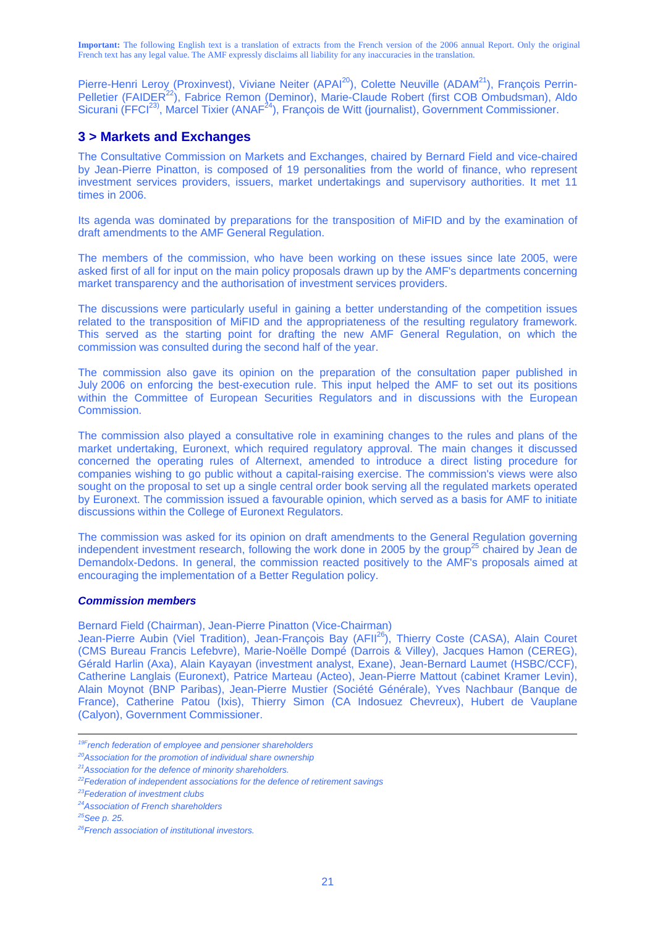Pierre-Henri Leroy (Proxinvest), Viviane Neiter (APAI<sup>20</sup>), Colette Neuville (ADAM<sup>21</sup>), François Perrin-Pelletier (FAIDER<sup>22</sup>), Fabrice Remon (Deminor), Marie-Claude Robert (first COB Ombudsman), Aldo Sicurani (FFCI<sup>23)</sup>, Marcel Tixier (ANAF<sup>24</sup>), François de Witt (journalist), Government Commissioner.

## **3 > Markets and Exchanges**

The Consultative Commission on Markets and Exchanges, chaired by Bernard Field and vice-chaired by Jean-Pierre Pinatton, is composed of 19 personalities from the world of finance, who represent investment services providers, issuers, market undertakings and supervisory authorities. It met 11 times in 2006.

Its agenda was dominated by preparations for the transposition of MiFID and by the examination of draft amendments to the AMF General Regulation.

The members of the commission, who have been working on these issues since late 2005, were asked first of all for input on the main policy proposals drawn up by the AMF's departments concerning market transparency and the authorisation of investment services providers.

The discussions were particularly useful in gaining a better understanding of the competition issues related to the transposition of MiFID and the appropriateness of the resulting regulatory framework. This served as the starting point for drafting the new AMF General Regulation, on which the commission was consulted during the second half of the year.

The commission also gave its opinion on the preparation of the consultation paper published in July 2006 on enforcing the best-execution rule. This input helped the AMF to set out its positions within the Committee of European Securities Regulators and in discussions with the European Commission.

The commission also played a consultative role in examining changes to the rules and plans of the market undertaking, Euronext, which required regulatory approval. The main changes it discussed concerned the operating rules of Alternext, amended to introduce a direct listing procedure for companies wishing to go public without a capital-raising exercise. The commission's views were also sought on the proposal to set up a single central order book serving all the regulated markets operated by Euronext. The commission issued a favourable opinion, which served as a basis for AMF to initiate discussions within the College of Euronext Regulators.

The commission was asked for its opinion on draft amendments to the General Regulation governing independent investment research, following the work done in 2005 by the group<sup>25</sup> chaired by Jean de Demandolx-Dedons. In general, the commission reacted positively to the AMF's proposals aimed at encouraging the implementation of a Better Regulation policy.

#### *Commission members*

Bernard Field (Chairman), Jean-Pierre Pinatton (Vice-Chairman)

Jean-Pierre Aubin (Viel Tradition), Jean-François Bay (AFII<sup>26</sup>), Thierry Coste (CASA), Alain Couret (CMS Bureau Francis Lefebvre), Marie-Noëlle Dompé (Darrois & Villey), Jacques Hamon (CEREG), Gérald Harlin (Axa), Alain Kayayan (investment analyst, Exane), Jean-Bernard Laumet (HSBC/CCF), Catherine Langlais (Euronext), Patrice Marteau (Acteo), Jean-Pierre Mattout (cabinet Kramer Levin), Alain Moynot (BNP Paribas), Jean-Pierre Mustier (Société Générale), Yves Nachbaur (Banque de France), Catherine Patou (Ixis), Thierry Simon (CA Indosuez Chevreux), Hubert de Vauplane (Calyon), Government Commissioner.

<sup>&</sup>lt;sup>19F</sup>rench federation of employee and pensioner shareholders

<sup>&</sup>lt;sup>20</sup>Association for the promotion of individual share ownership

*<sup>21</sup>Association for the defence of minority shareholders.*

*<sup>22</sup>Federation of independent associations for the defence of retirement savings 23Federation of investment clubs* 

*<sup>24</sup>Association of French shareholders* 

*<sup>25</sup>See p. 25.* 

*<sup>26</sup>French association of institutional investors.*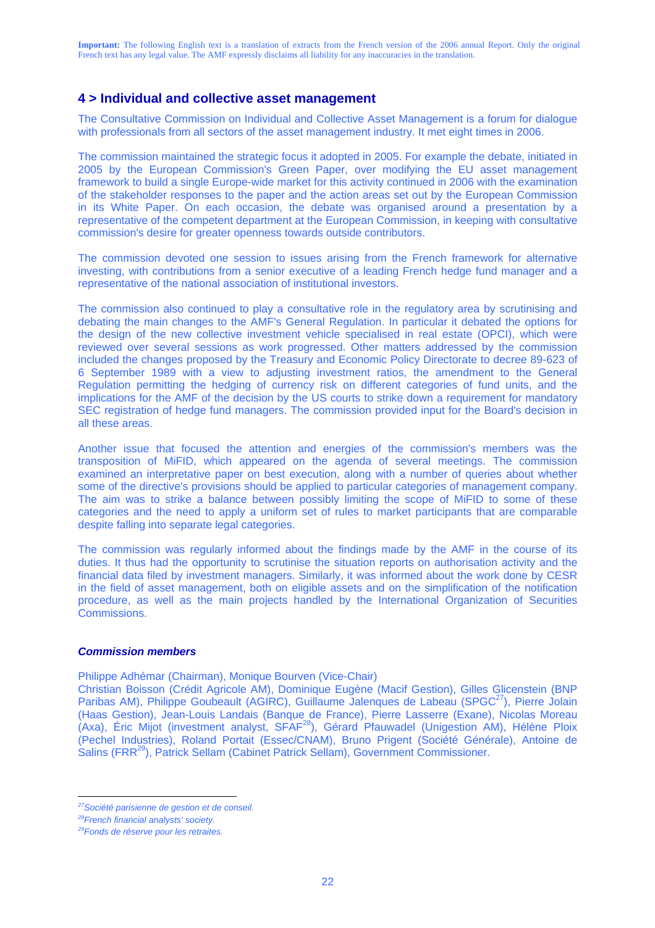## **4 > Individual and collective asset management**

The Consultative Commission on Individual and Collective Asset Management is a forum for dialogue with professionals from all sectors of the asset management industry. It met eight times in 2006.

The commission maintained the strategic focus it adopted in 2005. For example the debate, initiated in 2005 by the European Commission's Green Paper, over modifying the EU asset management framework to build a single Europe-wide market for this activity continued in 2006 with the examination of the stakeholder responses to the paper and the action areas set out by the European Commission in its White Paper. On each occasion, the debate was organised around a presentation by a representative of the competent department at the European Commission, in keeping with consultative commission's desire for greater openness towards outside contributors.

The commission devoted one session to issues arising from the French framework for alternative investing, with contributions from a senior executive of a leading French hedge fund manager and a representative of the national association of institutional investors.

The commission also continued to play a consultative role in the regulatory area by scrutinising and debating the main changes to the AMF's General Regulation. In particular it debated the options for the design of the new collective investment vehicle specialised in real estate (OPCI), which were reviewed over several sessions as work progressed. Other matters addressed by the commission included the changes proposed by the Treasury and Economic Policy Directorate to decree 89-623 of 6 September 1989 with a view to adjusting investment ratios, the amendment to the General Regulation permitting the hedging of currency risk on different categories of fund units, and the implications for the AMF of the decision by the US courts to strike down a requirement for mandatory SEC registration of hedge fund managers. The commission provided input for the Board's decision in all these areas.

Another issue that focused the attention and energies of the commission's members was the transposition of MiFID, which appeared on the agenda of several meetings. The commission examined an interpretative paper on best execution, along with a number of queries about whether some of the directive's provisions should be applied to particular categories of management company. The aim was to strike a balance between possibly limiting the scope of MiFID to some of these categories and the need to apply a uniform set of rules to market participants that are comparable despite falling into separate legal categories.

The commission was regularly informed about the findings made by the AMF in the course of its duties. It thus had the opportunity to scrutinise the situation reports on authorisation activity and the financial data filed by investment managers. Similarly, it was informed about the work done by CESR in the field of asset management, both on eligible assets and on the simplification of the notification procedure, as well as the main projects handled by the International Organization of Securities **Commissions** 

#### *Commission members*

Philippe Adhémar (Chairman), Monique Bourven (Vice-Chair)

Christian Boisson (Crédit Agricole AM), Dominique Eugène (Macif Gestion), Gilles Glicenstein (BNP Paribas AM), Philippe Goubeault (AGIRC), Guillaume Jalenques de Labeau (SPGC<sup>27</sup>), Pierre Jolain (Haas Gestion), Jean-Louis Landais (Banque de France), Pierre Lasserre (Exane), Nicolas Moreau (Axa), Éric Mijot (investment analyst, SFAF28), Gérard Pfauwadel (Unigestion AM), Hélène Ploix (Pechel Industries), Roland Portait (Essec/CNAM), Bruno Prigent (Société Générale), Antoine de Salins (FRR<sup>29</sup>), Patrick Sellam (Cabinet Patrick Sellam), Government Commissioner.

 $\overline{a}$ 

*<sup>27</sup>Société parisienne de gestion et de conseil.* 

*<sup>28</sup>French financial analysts' society.* 

*<sup>29</sup>Fonds de réserve pour les retraites.*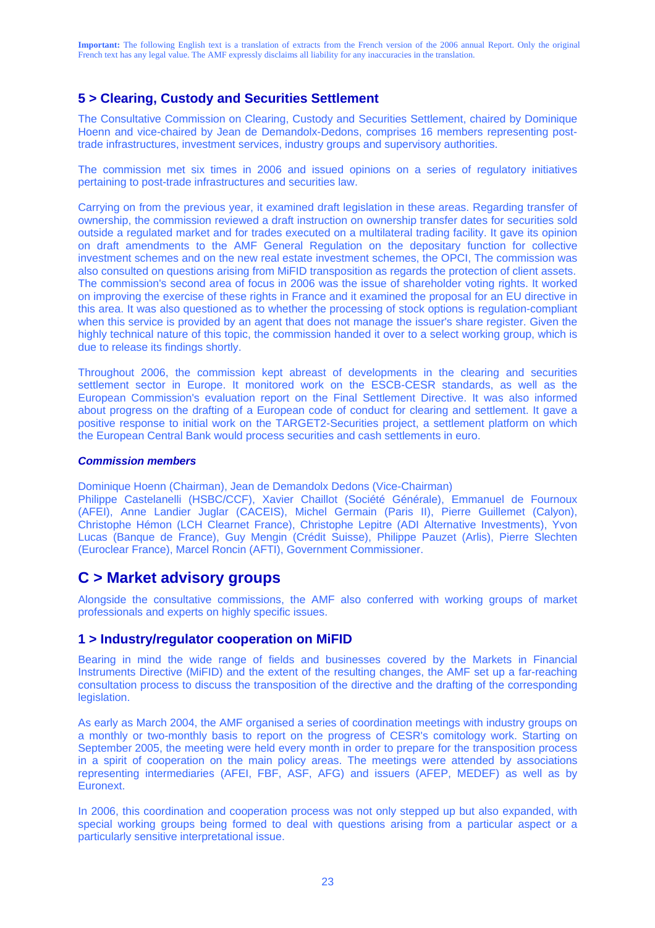## **5 > Clearing, Custody and Securities Settlement**

The Consultative Commission on Clearing, Custody and Securities Settlement, chaired by Dominique Hoenn and vice-chaired by Jean de Demandolx-Dedons, comprises 16 members representing posttrade infrastructures, investment services, industry groups and supervisory authorities.

The commission met six times in 2006 and issued opinions on a series of regulatory initiatives pertaining to post-trade infrastructures and securities law.

Carrying on from the previous year, it examined draft legislation in these areas. Regarding transfer of ownership, the commission reviewed a draft instruction on ownership transfer dates for securities sold outside a regulated market and for trades executed on a multilateral trading facility. It gave its opinion on draft amendments to the AMF General Regulation on the depositary function for collective investment schemes and on the new real estate investment schemes, the OPCI, The commission was also consulted on questions arising from MiFID transposition as regards the protection of client assets. The commission's second area of focus in 2006 was the issue of shareholder voting rights. It worked on improving the exercise of these rights in France and it examined the proposal for an EU directive in this area. It was also questioned as to whether the processing of stock options is regulation-compliant when this service is provided by an agent that does not manage the issuer's share register. Given the highly technical nature of this topic, the commission handed it over to a select working group, which is due to release its findings shortly.

Throughout 2006, the commission kept abreast of developments in the clearing and securities settlement sector in Europe. It monitored work on the ESCB-CESR standards, as well as the European Commission's evaluation report on the Final Settlement Directive. It was also informed about progress on the drafting of a European code of conduct for clearing and settlement. It gave a positive response to initial work on the TARGET2-Securities project, a settlement platform on which the European Central Bank would process securities and cash settlements in euro.

#### *Commission members*

Dominique Hoenn (Chairman), Jean de Demandolx Dedons (Vice-Chairman)

Philippe Castelanelli (HSBC/CCF), Xavier Chaillot (Société Générale), Emmanuel de Fournoux (AFEI), Anne Landier Juglar (CACEIS), Michel Germain (Paris II), Pierre Guillemet (Calyon), Christophe Hémon (LCH Clearnet France), Christophe Lepitre (ADI Alternative Investments), Yvon Lucas (Banque de France), Guy Mengin (Crédit Suisse), Philippe Pauzet (Arlis), Pierre Slechten (Euroclear France), Marcel Roncin (AFTI), Government Commissioner.

## **C > Market advisory groups**

Alongside the consultative commissions, the AMF also conferred with working groups of market professionals and experts on highly specific issues.

### **1 > Industry/regulator cooperation on MiFID**

Bearing in mind the wide range of fields and businesses covered by the Markets in Financial Instruments Directive (MiFID) and the extent of the resulting changes, the AMF set up a far-reaching consultation process to discuss the transposition of the directive and the drafting of the corresponding legislation.

As early as March 2004, the AMF organised a series of coordination meetings with industry groups on a monthly or two-monthly basis to report on the progress of CESR's comitology work. Starting on September 2005, the meeting were held every month in order to prepare for the transposition process in a spirit of cooperation on the main policy areas. The meetings were attended by associations representing intermediaries (AFEI, FBF, ASF, AFG) and issuers (AFEP, MEDEF) as well as by Euronext.

In 2006, this coordination and cooperation process was not only stepped up but also expanded, with special working groups being formed to deal with questions arising from a particular aspect or a particularly sensitive interpretational issue.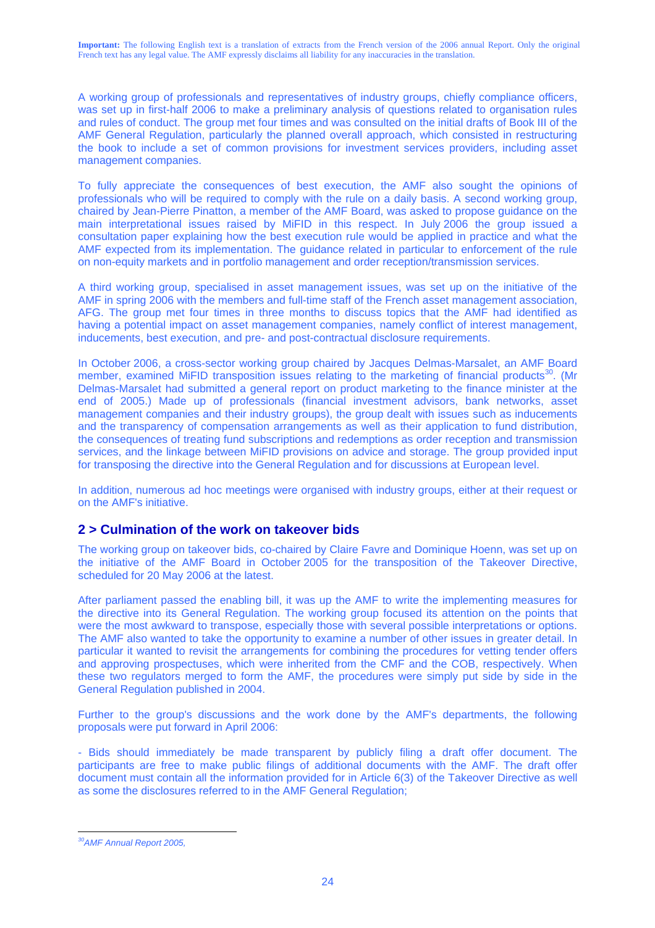A working group of professionals and representatives of industry groups, chiefly compliance officers, was set up in first-half 2006 to make a preliminary analysis of questions related to organisation rules and rules of conduct. The group met four times and was consulted on the initial drafts of Book III of the AMF General Regulation, particularly the planned overall approach, which consisted in restructuring the book to include a set of common provisions for investment services providers, including asset management companies.

To fully appreciate the consequences of best execution, the AMF also sought the opinions of professionals who will be required to comply with the rule on a daily basis. A second working group, chaired by Jean-Pierre Pinatton, a member of the AMF Board, was asked to propose guidance on the main interpretational issues raised by MiFID in this respect. In July 2006 the group issued a consultation paper explaining how the best execution rule would be applied in practice and what the AMF expected from its implementation. The guidance related in particular to enforcement of the rule on non-equity markets and in portfolio management and order reception/transmission services.

A third working group, specialised in asset management issues, was set up on the initiative of the AMF in spring 2006 with the members and full-time staff of the French asset management association, AFG. The group met four times in three months to discuss topics that the AMF had identified as having a potential impact on asset management companies, namely conflict of interest management, inducements, best execution, and pre- and post-contractual disclosure requirements.

In October 2006, a cross-sector working group chaired by Jacques Delmas-Marsalet, an AMF Board member, examined MiFID transposition issues relating to the marketing of financial products<sup>30</sup>. (Mr Delmas-Marsalet had submitted a general report on product marketing to the finance minister at the end of 2005.) Made up of professionals (financial investment advisors, bank networks, asset management companies and their industry groups), the group dealt with issues such as inducements and the transparency of compensation arrangements as well as their application to fund distribution, the consequences of treating fund subscriptions and redemptions as order reception and transmission services, and the linkage between MiFID provisions on advice and storage. The group provided input for transposing the directive into the General Regulation and for discussions at European level.

In addition, numerous ad hoc meetings were organised with industry groups, either at their request or on the AMF's initiative.

## **2 > Culmination of the work on takeover bids**

The working group on takeover bids, co-chaired by Claire Favre and Dominique Hoenn, was set up on the initiative of the AMF Board in October 2005 for the transposition of the Takeover Directive, scheduled for 20 May 2006 at the latest.

After parliament passed the enabling bill, it was up the AMF to write the implementing measures for the directive into its General Regulation. The working group focused its attention on the points that were the most awkward to transpose, especially those with several possible interpretations or options. The AMF also wanted to take the opportunity to examine a number of other issues in greater detail. In particular it wanted to revisit the arrangements for combining the procedures for vetting tender offers and approving prospectuses, which were inherited from the CMF and the COB, respectively. When these two regulators merged to form the AMF, the procedures were simply put side by side in the General Regulation published in 2004.

Further to the group's discussions and the work done by the AMF's departments, the following proposals were put forward in April 2006:

- Bids should immediately be made transparent by publicly filing a draft offer document. The participants are free to make public filings of additional documents with the AMF. The draft offer document must contain all the information provided for in Article 6(3) of the Takeover Directive as well as some the disclosures referred to in the AMF General Regulation;

 $\overline{a}$ *30AMF Annual Report 2005,*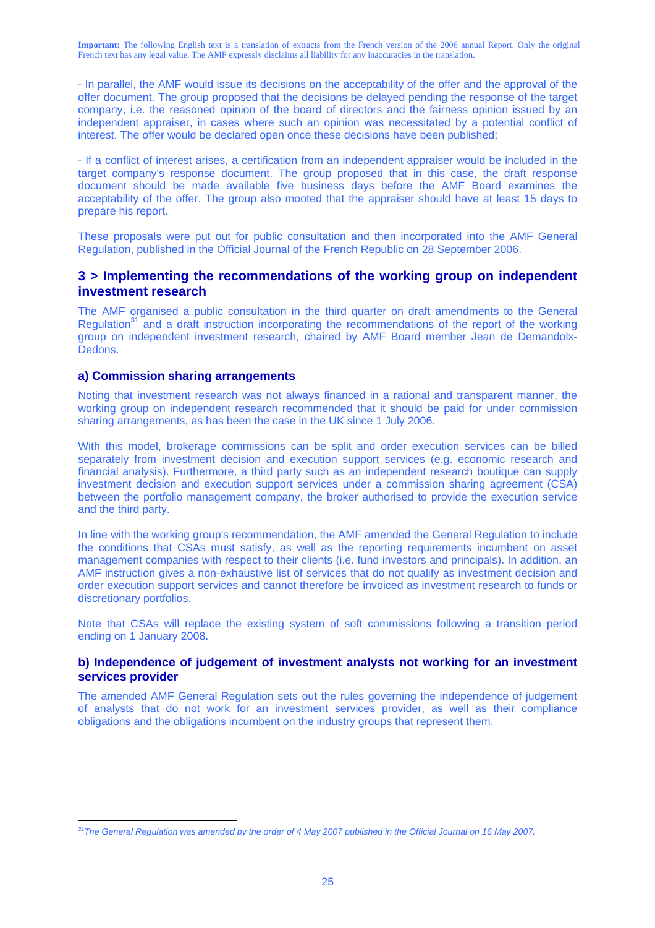- In parallel, the AMF would issue its decisions on the acceptability of the offer and the approval of the offer document. The group proposed that the decisions be delayed pending the response of the target company, i.e. the reasoned opinion of the board of directors and the fairness opinion issued by an independent appraiser, in cases where such an opinion was necessitated by a potential conflict of interest. The offer would be declared open once these decisions have been published;

- If a conflict of interest arises, a certification from an independent appraiser would be included in the target company's response document. The group proposed that in this case, the draft response document should be made available five business days before the AMF Board examines the acceptability of the offer. The group also mooted that the appraiser should have at least 15 days to prepare his report.

These proposals were put out for public consultation and then incorporated into the AMF General Regulation, published in the Official Journal of the French Republic on 28 September 2006.

### **3 > Implementing the recommendations of the working group on independent investment research**

The AMF organised a public consultation in the third quarter on draft amendments to the General Regulation<sup>31</sup> and a draft instruction incorporating the recommendations of the report of the working group on independent investment research, chaired by AMF Board member Jean de Demandolx-Dedons.

#### **a) Commission sharing arrangements**

 $\overline{a}$ 

Noting that investment research was not always financed in a rational and transparent manner, the working group on independent research recommended that it should be paid for under commission sharing arrangements, as has been the case in the UK since 1 July 2006.

With this model, brokerage commissions can be split and order execution services can be billed separately from investment decision and execution support services (e.g. economic research and financial analysis). Furthermore, a third party such as an independent research boutique can supply investment decision and execution support services under a commission sharing agreement (CSA) between the portfolio management company, the broker authorised to provide the execution service and the third party.

In line with the working group's recommendation, the AMF amended the General Regulation to include the conditions that CSAs must satisfy, as well as the reporting requirements incumbent on asset management companies with respect to their clients (i.e. fund investors and principals). In addition, an AMF instruction gives a non-exhaustive list of services that do not qualify as investment decision and order execution support services and cannot therefore be invoiced as investment research to funds or discretionary portfolios.

Note that CSAs will replace the existing system of soft commissions following a transition period ending on 1 January 2008.

#### **b) Independence of judgement of investment analysts not working for an investment services provider**

The amended AMF General Regulation sets out the rules governing the independence of judgement of analysts that do not work for an investment services provider, as well as their compliance obligations and the obligations incumbent on the industry groups that represent them.

<sup>&</sup>lt;sup>31</sup>The General Regulation was amended by the order of 4 May 2007 published in the Official Journal on 16 May 2007.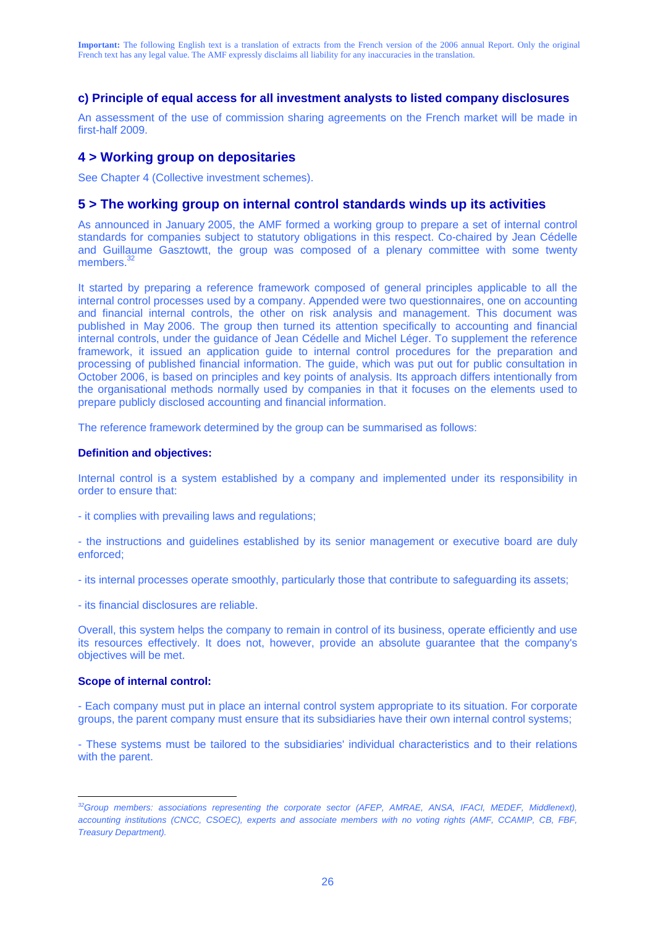### **c) Principle of equal access for all investment analysts to listed company disclosures**

An assessment of the use of commission sharing agreements on the French market will be made in first-half 2009.

### **4 > Working group on depositaries**

See Chapter 4 (Collective investment schemes).

#### **5 > The working group on internal control standards winds up its activities**

As announced in January 2005, the AMF formed a working group to prepare a set of internal control standards for companies subject to statutory obligations in this respect. Co-chaired by Jean Cédelle and Guillaume Gasztowtt, the group was composed of a plenary committee with some twenty members.<sup>32</sup>

It started by preparing a reference framework composed of general principles applicable to all the internal control processes used by a company. Appended were two questionnaires, one on accounting and financial internal controls, the other on risk analysis and management. This document was published in May 2006. The group then turned its attention specifically to accounting and financial internal controls, under the guidance of Jean Cédelle and Michel Léger. To supplement the reference framework, it issued an application guide to internal control procedures for the preparation and processing of published financial information. The guide, which was put out for public consultation in October 2006, is based on principles and key points of analysis. Its approach differs intentionally from the organisational methods normally used by companies in that it focuses on the elements used to prepare publicly disclosed accounting and financial information.

The reference framework determined by the group can be summarised as follows:

#### **Definition and objectives:**

Internal control is a system established by a company and implemented under its responsibility in order to ensure that:

- it complies with prevailing laws and regulations;
- the instructions and guidelines established by its senior management or executive board are duly enforced;
- its internal processes operate smoothly, particularly those that contribute to safeguarding its assets;
- its financial disclosures are reliable.

Overall, this system helps the company to remain in control of its business, operate efficiently and use its resources effectively. It does not, however, provide an absolute guarantee that the company's objectives will be met.

#### **Scope of internal control:**

- Each company must put in place an internal control system appropriate to its situation. For corporate groups, the parent company must ensure that its subsidiaries have their own internal control systems;

- These systems must be tailored to the subsidiaries' individual characteristics and to their relations with the parent.

 $\overline{a}$ *32Group members: associations representing the corporate sector (AFEP, AMRAE, ANSA, IFACI, MEDEF, Middlenext), accounting institutions (CNCC, CSOEC), experts and associate members with no voting rights (AMF, CCAMIP, CB, FBF, Treasury Department).*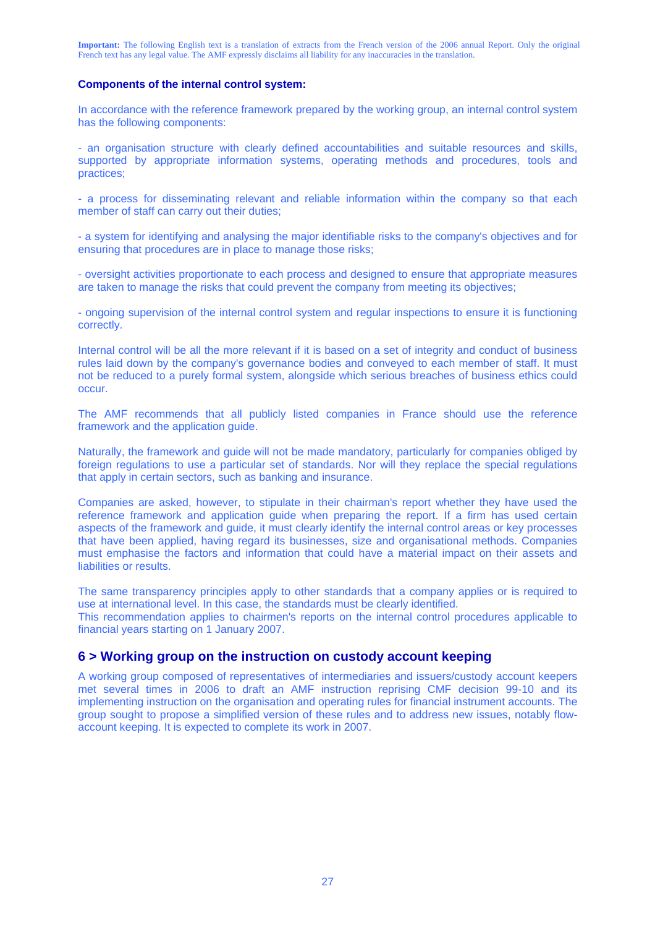#### **Components of the internal control system:**

In accordance with the reference framework prepared by the working group, an internal control system has the following components:

- an organisation structure with clearly defined accountabilities and suitable resources and skills, supported by appropriate information systems, operating methods and procedures, tools and practices;

- a process for disseminating relevant and reliable information within the company so that each member of staff can carry out their duties;

- a system for identifying and analysing the major identifiable risks to the company's objectives and for ensuring that procedures are in place to manage those risks;

- oversight activities proportionate to each process and designed to ensure that appropriate measures are taken to manage the risks that could prevent the company from meeting its objectives;

- ongoing supervision of the internal control system and regular inspections to ensure it is functioning correctly.

Internal control will be all the more relevant if it is based on a set of integrity and conduct of business rules laid down by the company's governance bodies and conveyed to each member of staff. It must not be reduced to a purely formal system, alongside which serious breaches of business ethics could occur.

The AMF recommends that all publicly listed companies in France should use the reference framework and the application guide.

Naturally, the framework and guide will not be made mandatory, particularly for companies obliged by foreign regulations to use a particular set of standards. Nor will they replace the special regulations that apply in certain sectors, such as banking and insurance.

Companies are asked, however, to stipulate in their chairman's report whether they have used the reference framework and application guide when preparing the report. If a firm has used certain aspects of the framework and guide, it must clearly identify the internal control areas or key processes that have been applied, having regard its businesses, size and organisational methods. Companies must emphasise the factors and information that could have a material impact on their assets and liabilities or results.

The same transparency principles apply to other standards that a company applies or is required to use at international level. In this case, the standards must be clearly identified.

This recommendation applies to chairmen's reports on the internal control procedures applicable to financial years starting on 1 January 2007.

#### **6 > Working group on the instruction on custody account keeping**

A working group composed of representatives of intermediaries and issuers/custody account keepers met several times in 2006 to draft an AMF instruction reprising CMF decision 99-10 and its implementing instruction on the organisation and operating rules for financial instrument accounts. The group sought to propose a simplified version of these rules and to address new issues, notably flowaccount keeping. It is expected to complete its work in 2007.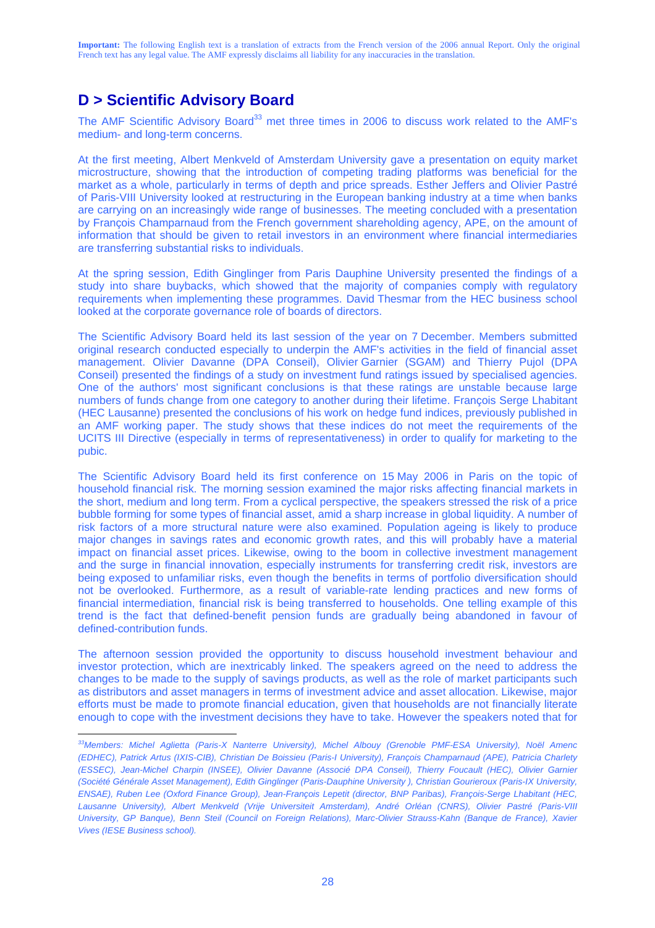## **D > Scientific Advisory Board**

 $\overline{a}$ 

The AMF Scientific Advisory Board<sup>33</sup> met three times in 2006 to discuss work related to the AMF's medium- and long-term concerns.

At the first meeting, Albert Menkveld of Amsterdam University gave a presentation on equity market microstructure, showing that the introduction of competing trading platforms was beneficial for the market as a whole, particularly in terms of depth and price spreads. Esther Jeffers and Olivier Pastré of Paris-VIII University looked at restructuring in the European banking industry at a time when banks are carrying on an increasingly wide range of businesses. The meeting concluded with a presentation by François Champarnaud from the French government shareholding agency, APE, on the amount of information that should be given to retail investors in an environment where financial intermediaries are transferring substantial risks to individuals.

At the spring session, Edith Ginglinger from Paris Dauphine University presented the findings of a study into share buybacks, which showed that the majority of companies comply with regulatory requirements when implementing these programmes. David Thesmar from the HEC business school looked at the corporate governance role of boards of directors.

The Scientific Advisory Board held its last session of the year on 7 December. Members submitted original research conducted especially to underpin the AMF's activities in the field of financial asset management. Olivier Davanne (DPA Conseil), Olivier Garnier (SGAM) and Thierry Pujol (DPA Conseil) presented the findings of a study on investment fund ratings issued by specialised agencies. One of the authors' most significant conclusions is that these ratings are unstable because large numbers of funds change from one category to another during their lifetime. François Serge Lhabitant (HEC Lausanne) presented the conclusions of his work on hedge fund indices, previously published in an AMF working paper. The study shows that these indices do not meet the requirements of the UCITS III Directive (especially in terms of representativeness) in order to qualify for marketing to the pubic.

The Scientific Advisory Board held its first conference on 15 May 2006 in Paris on the topic of household financial risk. The morning session examined the major risks affecting financial markets in the short, medium and long term. From a cyclical perspective, the speakers stressed the risk of a price bubble forming for some types of financial asset, amid a sharp increase in global liquidity. A number of risk factors of a more structural nature were also examined. Population ageing is likely to produce major changes in savings rates and economic growth rates, and this will probably have a material impact on financial asset prices. Likewise, owing to the boom in collective investment management and the surge in financial innovation, especially instruments for transferring credit risk, investors are being exposed to unfamiliar risks, even though the benefits in terms of portfolio diversification should not be overlooked. Furthermore, as a result of variable-rate lending practices and new forms of financial intermediation, financial risk is being transferred to households. One telling example of this trend is the fact that defined-benefit pension funds are gradually being abandoned in favour of defined-contribution funds.

The afternoon session provided the opportunity to discuss household investment behaviour and investor protection, which are inextricably linked. The speakers agreed on the need to address the changes to be made to the supply of savings products, as well as the role of market participants such as distributors and asset managers in terms of investment advice and asset allocation. Likewise, major efforts must be made to promote financial education, given that households are not financially literate enough to cope with the investment decisions they have to take. However the speakers noted that for

*<sup>33</sup>Members: Michel Aglietta (Paris-X Nanterre University), Michel Albouy (Grenoble PMF-ESA University), Noël Amenc (EDHEC), Patrick Artus (IXIS-CIB), Christian De Boissieu (Paris-I University), François Champarnaud (APE), Patricia Charlety (ESSEC), Jean-Michel Charpin (INSEE), Olivier Davanne (Associé DPA Conseil), Thierry Foucault (HEC), Olivier Garnier (Société Générale Asset Management), Edith Ginglinger (Paris-Dauphine University ), Christian Gourieroux (Paris-IX University, ENSAE), Ruben Lee (Oxford Finance Group), Jean-François Lepetit (director, BNP Paribas), François-Serge Lhabitant (HEC, Lausanne University), Albert Menkveld (Vrije Universiteit Amsterdam), André Orléan (CNRS), Olivier Pastré (Paris-VIII University, GP Banque), Benn Steil (Council on Foreign Relations), Marc-Olivier Strauss-Kahn (Banque de France), Xavier Vives (IESE Business school).*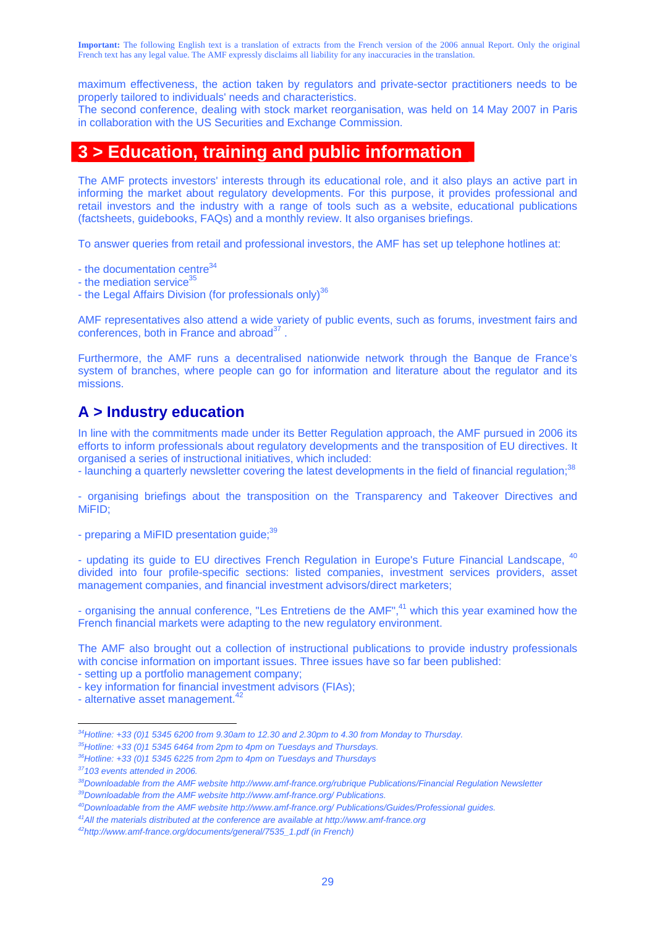maximum effectiveness, the action taken by regulators and private-sector practitioners needs to be properly tailored to individuals' needs and characteristics.

The second conference, dealing with stock market reorganisation, was held on 14 May 2007 in Paris in collaboration with the US Securities and Exchange Commission.

## **3 > Education, training and public information**

The AMF protects investors' interests through its educational role, and it also plays an active part in informing the market about regulatory developments. For this purpose, it provides professional and retail investors and the industry with a range of tools such as a website, educational publications (factsheets, guidebooks, FAQs) and a monthly review. It also organises briefings.

To answer queries from retail and professional investors, the AMF has set up telephone hotlines at:

- the documentation centre $34$ 

- the mediation service<sup>3</sup>

- the Legal Affairs Division (for professionals only)<sup>36</sup>

AMF representatives also attend a wide variety of public events, such as forums, investment fairs and conferences, both in France and abroad $37$ .

Furthermore, the AMF runs a decentralised nationwide network through the Banque de France's system of branches, where people can go for information and literature about the regulator and its missions.

## **A > Industry education**

In line with the commitments made under its Better Regulation approach, the AMF pursued in 2006 its efforts to inform professionals about regulatory developments and the transposition of EU directives. It organised a series of instructional initiatives, which included:

- launching a quarterly newsletter covering the latest developments in the field of financial regulation;<sup>38</sup>

- organising briefings about the transposition on the Transparency and Takeover Directives and MiFID;

- preparing a MiFID presentation guide;<sup>39</sup>

- updating its guide to EU directives French Regulation in Europe's Future Financial Landscape. <sup>40</sup> divided into four profile-specific sections: listed companies, investment services providers, asset management companies, and financial investment advisors/direct marketers;

- organising the annual conference, "Les Entretiens de the AMF", $41$  which this year examined how the French financial markets were adapting to the new regulatory environment.

The AMF also brought out a collection of instructional publications to provide industry professionals with concise information on important issues. Three issues have so far been published:

- setting up a portfolio management company;

- key information for financial investment advisors (FIAs);

- alternative asset management. $42$ 

*<sup>34</sup>Hotline: +33 (0)1 5345 6200 from 9.30am to 12.30 and 2.30pm to 4.30 from Monday to Thursday.* 

*<sup>35</sup>Hotline: +33 (0)1 5345 6464 from 2pm to 4pm on Tuesdays and Thursdays.* 

*<sup>36</sup>Hotline: +33 (0)1 5345 6225 from 2pm to 4pm on Tuesdays and Thursdays* 

*<sup>37103</sup> events attended in 2006.* 

<sup>&</sup>lt;sup>38</sup>Downloadable from the AMF website http://www.amf-france.org/rubrique Publications/Financial Regulation Newsletter <br><sup>39</sup>Downloadable from the AMF website http://www.amf-france.org/ Publications.

<sup>&</sup>lt;sup>40</sup>Downloadable from the AMF website http://www.amf-france.org/ Publications/Guides/Professional guides.<br><sup>41</sup>All the materials distributed at the conference are available at http://www.amf-france.org<br><sup>42</sup>http://www.amf-f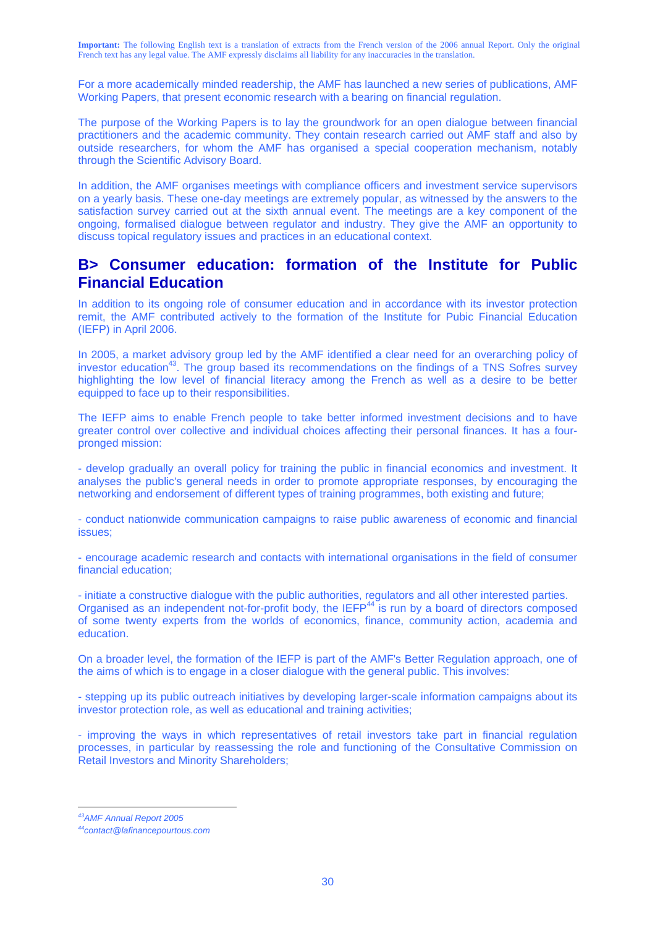For a more academically minded readership, the AMF has launched a new series of publications, AMF Working Papers, that present economic research with a bearing on financial regulation.

The purpose of the Working Papers is to lay the groundwork for an open dialogue between financial practitioners and the academic community. They contain research carried out AMF staff and also by outside researchers, for whom the AMF has organised a special cooperation mechanism, notably through the Scientific Advisory Board.

In addition, the AMF organises meetings with compliance officers and investment service supervisors on a yearly basis. These one-day meetings are extremely popular, as witnessed by the answers to the satisfaction survey carried out at the sixth annual event. The meetings are a key component of the ongoing, formalised dialogue between regulator and industry. They give the AMF an opportunity to discuss topical regulatory issues and practices in an educational context.

## **B> Consumer education: formation of the Institute for Public Financial Education**

In addition to its ongoing role of consumer education and in accordance with its investor protection remit, the AMF contributed actively to the formation of the Institute for Pubic Financial Education (IEFP) in April 2006.

In 2005, a market advisory group led by the AMF identified a clear need for an overarching policy of investor education<sup>43</sup>. The group based its recommendations on the findings of a TNS Sofres survey highlighting the low level of financial literacy among the French as well as a desire to be better equipped to face up to their responsibilities.

The IEFP aims to enable French people to take better informed investment decisions and to have greater control over collective and individual choices affecting their personal finances. It has a fourpronged mission:

- develop gradually an overall policy for training the public in financial economics and investment. It analyses the public's general needs in order to promote appropriate responses, by encouraging the networking and endorsement of different types of training programmes, both existing and future;

- conduct nationwide communication campaigns to raise public awareness of economic and financial issues;

- encourage academic research and contacts with international organisations in the field of consumer financial education;

- initiate a constructive dialogue with the public authorities, regulators and all other interested parties. Organised as an independent not-for-profit body, the IEFP<sup>44</sup> is run by a board of directors composed of some twenty experts from the worlds of economics, finance, community action, academia and education.

On a broader level, the formation of the IEFP is part of the AMF's Better Regulation approach, one of the aims of which is to engage in a closer dialogue with the general public. This involves:

- stepping up its public outreach initiatives by developing larger-scale information campaigns about its investor protection role, as well as educational and training activities;

- improving the ways in which representatives of retail investors take part in financial regulation processes, in particular by reassessing the role and functioning of the Consultative Commission on Retail Investors and Minority Shareholders;

 $\overline{a}$ *43AMF Annual Report 2005* 

*<sup>44</sup>contact@lafinancepourtous.com*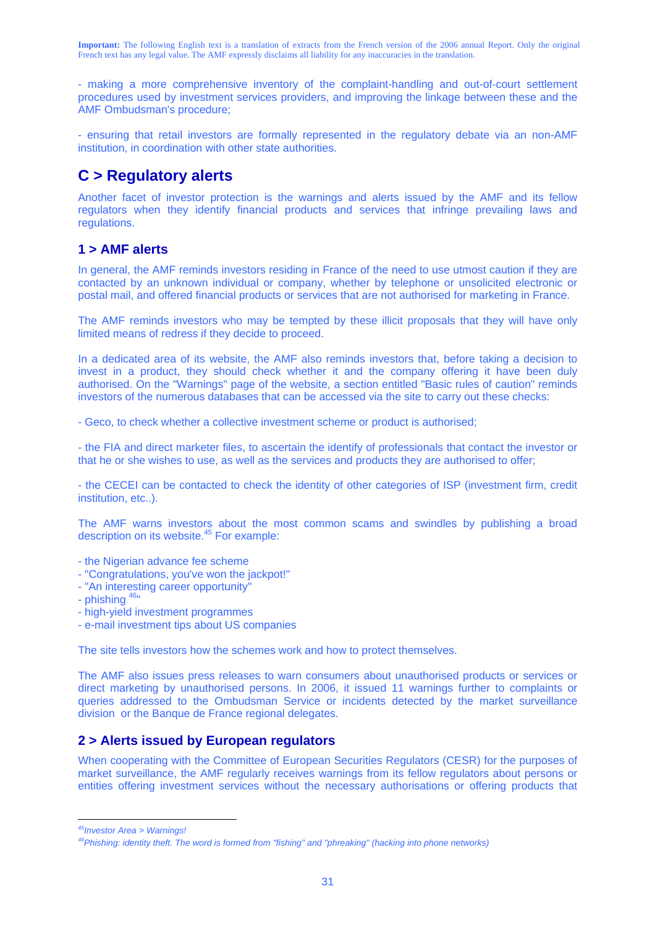- making a more comprehensive inventory of the complaint-handling and out-of-court settlement procedures used by investment services providers, and improving the linkage between these and the AMF Ombudsman's procedure;

- ensuring that retail investors are formally represented in the regulatory debate via an non-AMF institution, in coordination with other state authorities.

## **C > Regulatory alerts**

Another facet of investor protection is the warnings and alerts issued by the AMF and its fellow regulators when they identify financial products and services that infringe prevailing laws and regulations.

## **1 > AMF alerts**

In general, the AMF reminds investors residing in France of the need to use utmost caution if they are contacted by an unknown individual or company, whether by telephone or unsolicited electronic or postal mail, and offered financial products or services that are not authorised for marketing in France.

The AMF reminds investors who may be tempted by these illicit proposals that they will have only limited means of redress if they decide to proceed.

In a dedicated area of its website, the AMF also reminds investors that, before taking a decision to invest in a product, they should check whether it and the company offering it have been duly authorised. On the "Warnings" page of the website, a section entitled "Basic rules of caution" reminds investors of the numerous databases that can be accessed via the site to carry out these checks:

- Geco, to check whether a collective investment scheme or product is authorised;

- the FIA and direct marketer files, to ascertain the identify of professionals that contact the investor or that he or she wishes to use, as well as the services and products they are authorised to offer;

- the CECEI can be contacted to check the identity of other categories of ISP (investment firm, credit institution, etc..).

The AMF warns investors about the most common scams and swindles by publishing a broad description on its website.<sup>45</sup> For example:

- the Nigerian advance fee scheme
- "Congratulations, you've won the jackpot!"
- "An interesting career opportunity"
- phishing  $46$ "
- high-yield investment programmes
- e-mail investment tips about US companies

The site tells investors how the schemes work and how to protect themselves.

The AMF also issues press releases to warn consumers about unauthorised products or services or direct marketing by unauthorised persons. In 2006, it issued 11 warnings further to complaints or queries addressed to the Ombudsman Service or incidents detected by the market surveillance division or the Banque de France regional delegates.

### **2 > Alerts issued by European regulators**

When cooperating with the Committee of European Securities Regulators (CESR) for the purposes of market surveillance, the AMF regularly receives warnings from its fellow regulators about persons or entities offering investment services without the necessary authorisations or offering products that

 $\overline{a}$ 

*<sup>45</sup>Investor Area > Warnings!* 

*<sup>46</sup>Phishing: identity theft. The word is formed from "fishing" and "phreaking" (hacking into phone networks)*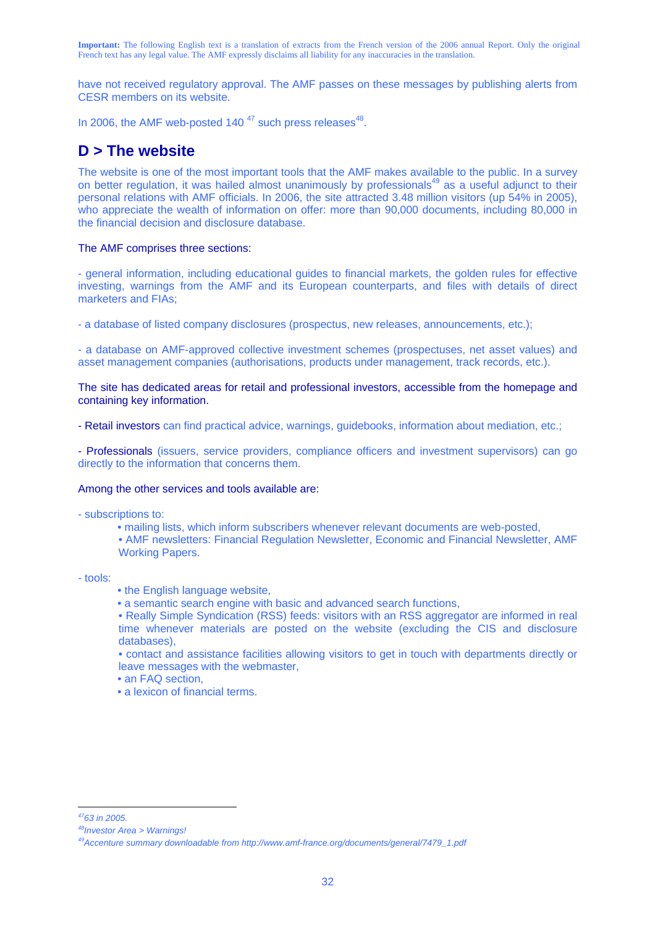have not received regulatory approval. The AMF passes on these messages by publishing alerts from CESR members on its website.

In 2006, the AMF web-posted 140 $47$  such press releases $48$ .

## **D > The website**

The website is one of the most important tools that the AMF makes available to the public. In a survey on better regulation, it was hailed almost unanimously by professionals<sup>49</sup> as a useful adjunct to their personal relations with AMF officials. In 2006, the site attracted 3.48 million visitors (up 54% in 2005), who appreciate the wealth of information on offer: more than 90,000 documents, including 80,000 in the financial decision and disclosure database.

#### The AMF comprises three sections:

- general information, including educational guides to financial markets, the golden rules for effective investing, warnings from the AMF and its European counterparts, and files with details of direct marketers and FIAs;

- a database of listed company disclosures (prospectus, new releases, announcements, etc.);

- a database on AMF-approved collective investment schemes (prospectuses, net asset values) and asset management companies (authorisations, products under management, track records, etc.).

The site has dedicated areas for retail and professional investors, accessible from the homepage and containing key information.

- Retail investors can find practical advice, warnings, guidebooks, information about mediation, etc.;

- Professionals (issuers, service providers, compliance officers and investment supervisors) can go directly to the information that concerns them.

#### Among the other services and tools available are:

- subscriptions to:

• mailing lists, which inform subscribers whenever relevant documents are web-posted,

 • AMF newsletters: Financial Regulation Newsletter, Economic and Financial Newsletter, AMF Working Papers.

- tools:

- the English language website,
- a semantic search engine with basic and advanced search functions,

 • Really Simple Syndication (RSS) feeds: visitors with an RSS aggregator are informed in real time whenever materials are posted on the website (excluding the CIS and disclosure databases),

 • contact and assistance facilities allowing visitors to get in touch with departments directly or leave messages with the webmaster,

- an FAQ section.
- a lexicon of financial terms.

 $\overline{a}$ *4763 in 2005.* 

*<sup>48</sup>Investor Area > Warnings!* 

*<sup>49</sup>Accenture summary downloadable from http://www.amf-france.org/documents/general/7479\_1.pdf*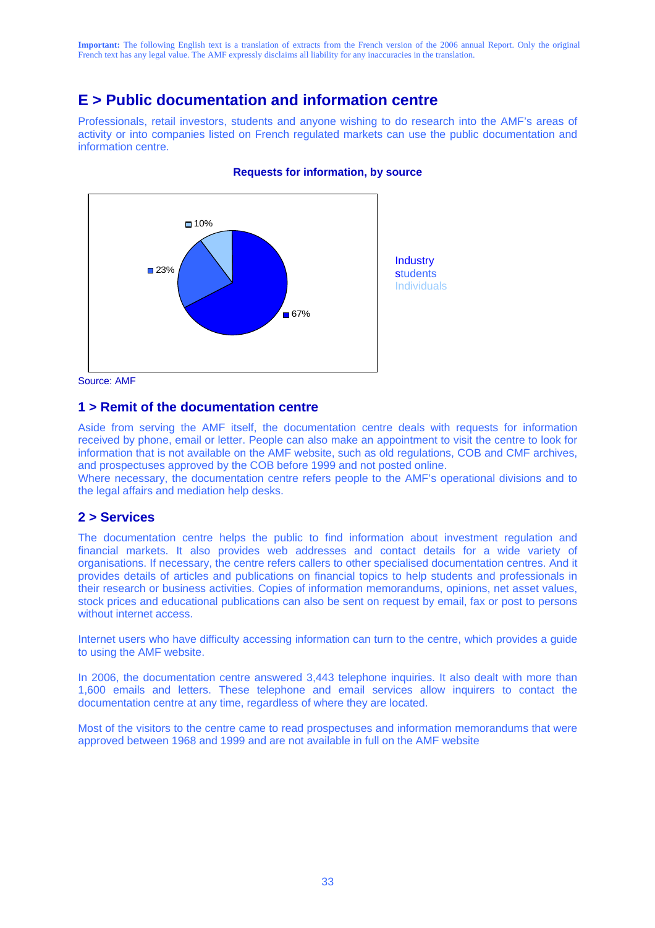## **E > Public documentation and information centre**

Professionals, retail investors, students and anyone wishing to do research into the AMF's areas of activity or into companies listed on French regulated markets can use the public documentation and information centre.



#### **Requests for information, by source**

Source: AMF

## **1 > Remit of the documentation centre**

Aside from serving the AMF itself, the documentation centre deals with requests for information received by phone, email or letter. People can also make an appointment to visit the centre to look for information that is not available on the AMF website, such as old regulations, COB and CMF archives, and prospectuses approved by the COB before 1999 and not posted online.

Where necessary, the documentation centre refers people to the AMF's operational divisions and to the legal affairs and mediation help desks.

### **2 > Services**

The documentation centre helps the public to find information about investment regulation and financial markets. It also provides web addresses and contact details for a wide variety of organisations. If necessary, the centre refers callers to other specialised documentation centres. And it provides details of articles and publications on financial topics to help students and professionals in their research or business activities. Copies of information memorandums, opinions, net asset values, stock prices and educational publications can also be sent on request by email, fax or post to persons without internet access.

Internet users who have difficulty accessing information can turn to the centre, which provides a guide to using the AMF website.

In 2006, the documentation centre answered 3,443 telephone inquiries. It also dealt with more than 1,600 emails and letters. These telephone and email services allow inquirers to contact the documentation centre at any time, regardless of where they are located.

Most of the visitors to the centre came to read prospectuses and information memorandums that were approved between 1968 and 1999 and are not available in full on the AMF website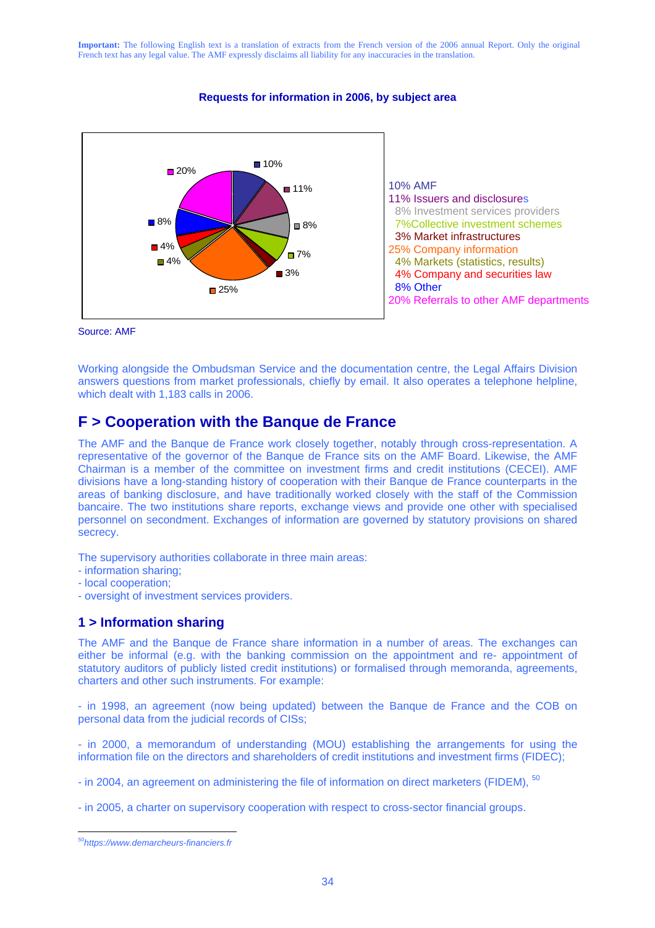#### **Requests for information in 2006, by subject area**



Source: AMF

Working alongside the Ombudsman Service and the documentation centre, the Legal Affairs Division answers questions from market professionals, chiefly by email. It also operates a telephone helpline, which dealt with 1,183 calls in 2006.

## **F > Cooperation with the Banque de France**

The AMF and the Banque de France work closely together, notably through cross-representation. A representative of the governor of the Banque de France sits on the AMF Board. Likewise, the AMF Chairman is a member of the committee on investment firms and credit institutions (CECEI). AMF divisions have a long-standing history of cooperation with their Banque de France counterparts in the areas of banking disclosure, and have traditionally worked closely with the staff of the Commission bancaire. The two institutions share reports, exchange views and provide one other with specialised personnel on secondment. Exchanges of information are governed by statutory provisions on shared secrecy.

The supervisory authorities collaborate in three main areas:

- information sharing;
- local cooperation;
- oversight of investment services providers.

## **1 > Information sharing**

The AMF and the Banque de France share information in a number of areas. The exchanges can either be informal (e.g. with the banking commission on the appointment and re- appointment of statutory auditors of publicly listed credit institutions) or formalised through memoranda, agreements, charters and other such instruments. For example:

- in 1998, an agreement (now being updated) between the Banque de France and the COB on personal data from the judicial records of CISs;

- in 2000, a memorandum of understanding (MOU) establishing the arrangements for using the information file on the directors and shareholders of credit institutions and investment firms (FIDEC);

- in 2004, an agreement on administering the file of information on direct marketers (FIDEM), <sup>50</sup>

- in 2005, a charter on supervisory cooperation with respect to cross-sector financial groups.

 $\overline{a}$ *50https://www.demarcheurs-financiers.fr*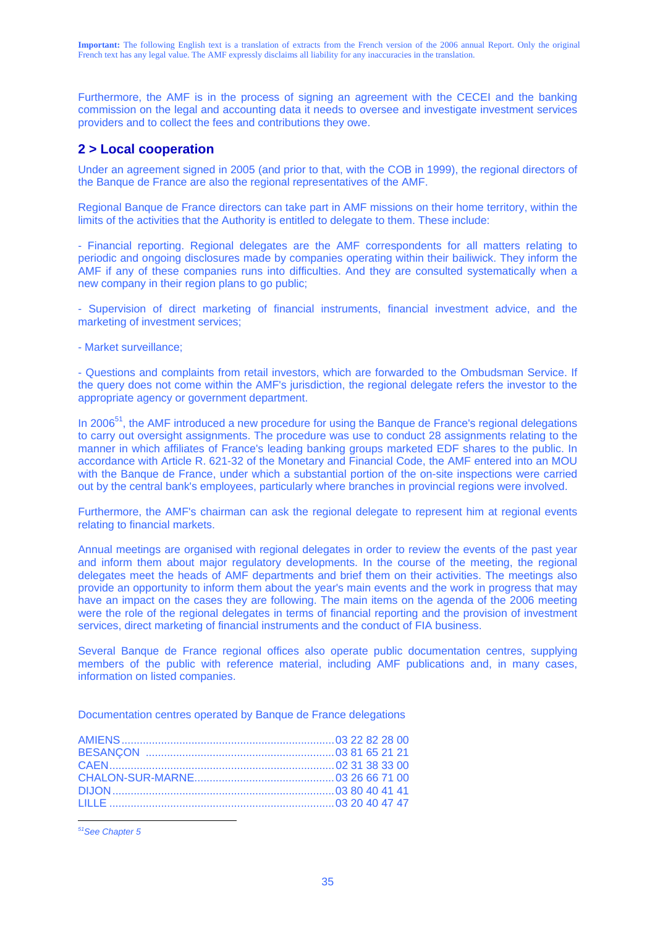Furthermore, the AMF is in the process of signing an agreement with the CECEI and the banking commission on the legal and accounting data it needs to oversee and investigate investment services providers and to collect the fees and contributions they owe.

## **2 > Local cooperation**

Under an agreement signed in 2005 (and prior to that, with the COB in 1999), the regional directors of the Banque de France are also the regional representatives of the AMF.

Regional Banque de France directors can take part in AMF missions on their home territory, within the limits of the activities that the Authority is entitled to delegate to them. These include:

- Financial reporting. Regional delegates are the AMF correspondents for all matters relating to periodic and ongoing disclosures made by companies operating within their bailiwick. They inform the AMF if any of these companies runs into difficulties. And they are consulted systematically when a new company in their region plans to go public;

- Supervision of direct marketing of financial instruments, financial investment advice, and the marketing of investment services;

- Market surveillance;

- Questions and complaints from retail investors, which are forwarded to the Ombudsman Service. If the query does not come within the AMF's jurisdiction, the regional delegate refers the investor to the appropriate agency or government department.

In 2006<sup>51</sup>, the AMF introduced a new procedure for using the Banque de France's regional delegations to carry out oversight assignments. The procedure was use to conduct 28 assignments relating to the manner in which affiliates of France's leading banking groups marketed EDF shares to the public. In accordance with Article R. 621-32 of the Monetary and Financial Code, the AMF entered into an MOU with the Banque de France, under which a substantial portion of the on-site inspections were carried out by the central bank's employees, particularly where branches in provincial regions were involved.

Furthermore, the AMF's chairman can ask the regional delegate to represent him at regional events relating to financial markets.

Annual meetings are organised with regional delegates in order to review the events of the past year and inform them about major regulatory developments. In the course of the meeting, the regional delegates meet the heads of AMF departments and brief them on their activities. The meetings also provide an opportunity to inform them about the year's main events and the work in progress that may have an impact on the cases they are following. The main items on the agenda of the 2006 meeting were the role of the regional delegates in terms of financial reporting and the provision of investment services, direct marketing of financial instruments and the conduct of FIA business.

Several Banque de France regional offices also operate public documentation centres, supplying members of the public with reference material, including AMF publications and, in many cases, information on listed companies.

Documentation centres operated by Banque de France delegations

 $\overline{a}$ *51See Chapter 5*